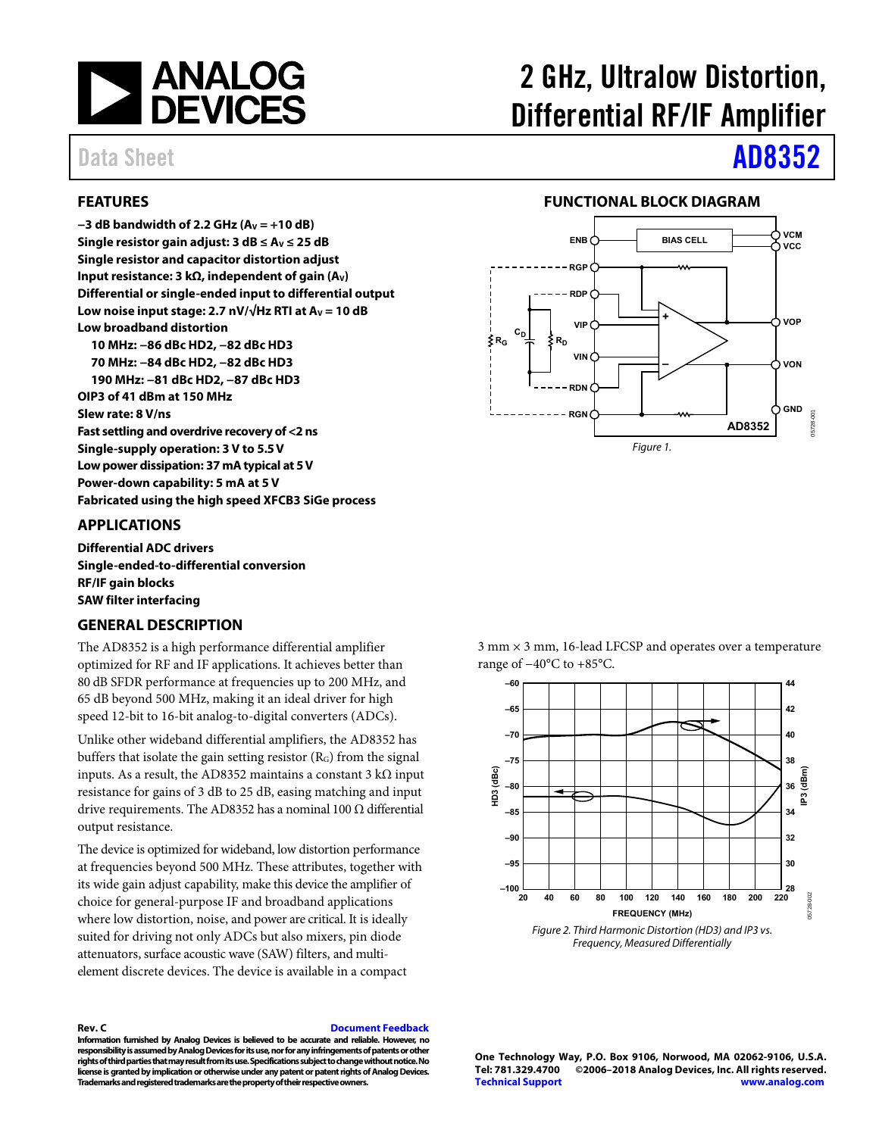

### <span id="page-0-0"></span>**FEATURES**

**−3 dB bandwidth of 2.2 GHz (AV = +10 dB) Single resistor gain adjust: 3 dB ≤ AV ≤ 25 dB Single resistor and capacitor distortion adjust Input resistance: 3 kΩ, independent of gain (AV) Differential or single-ended input to differential output Low noise input stage: 2.7 nV/√Hz RTI at AV = 10 dB Low broadband distortion 10 MHz: −86 dBc HD2, −82 dBc HD3 70 MHz: −84 dBc HD2, −82 dBc HD3** 

**190 MHz: −81 dBc HD2, −87 dBc HD3 OIP3 of 41 dBm at 150 MHz** 

**Slew rate: 8 V/ns Fast settling and overdrive recovery of <2 ns Single-supply operation: 3 V to 5.5 V Low power dissipation: 37 mA typical at 5 V Power-down capability: 5 mA at 5 V Fabricated using the high speed XFCB3 SiGe process** 

### <span id="page-0-1"></span>**APPLICATIONS**

**Differential ADC drivers Single-ended-to-differential conversion RF/IF gain blocks SAW filter interfacing** 

### <span id="page-0-3"></span>**GENERAL DESCRIPTION**

The AD8352 is a high performance differential amplifier optimized for RF and IF applications. It achieves better than 80 dB SFDR performance at frequencies up to 200 MHz, and 65 dB beyond 500 MHz, making it an ideal driver for high speed 12-bit to 16-bit analog-to-digital converters (ADCs).

Unlike other wideband differential amplifiers, the AD8352 has buffers that isolate the gain setting resistor  $(R<sub>G</sub>)$  from the signal inputs. As a result, the AD8352 maintains a constant 3 kΩ input resistance for gains of 3 dB to 25 dB, easing matching and input drive requirements. The AD8352 has a nominal 100  $\Omega$  differential output resistance.

The device is optimized for wideband, low distortion performance at frequencies beyond 500 MHz. These attributes, together with its wide gain adjust capability, make this device the amplifier of choice for general-purpose IF and broadband applications where low distortion, noise, and power are critical. It is ideally suited for driving not only ADCs but also mixers, pin diode attenuators, surface acoustic wave (SAW) filters, and multielement discrete devices. The device is available in a compact

**Rev. C [Document Feedback](https://form.analog.com/Form_Pages/feedback/documentfeedback.aspx?doc=AD8352.pdf&product=AD8352&rev=C)  Information furnished by Analog Devices is believed to be accurate and reliable. However, no responsibility is assumed by Analog Devices for its use, nor for any infringements of patents or other rights of third parties that may result from its use. Specifications subject to change without notice. No** 

**license is granted by implication or otherwise under any patent or patent rights of Analog Devices.** 

**Trademarks and registered trademarks are the property of their respective owners.** 

# 2 GHz, Ultralow Distortion, Differential RF/IF Amplifier

# Data Sheet **[AD8352](http://www.analog.com/AD8352?doc=AD8352.pdf)**

## **FUNCTIONAL BLOCK DIAGRAM**

<span id="page-0-2"></span>

3 mm × 3 mm, 16-lead LFCSP and operates over a temperature range of −40°C to +85°C.



**One Technology Way, P.O. Box 9106, Norwood, MA 02062-9106, U.S.A. Tel: 781.329.4700 ©2006–2018 Analog Devices, Inc. All rights reserved. [Technical Support](http://www.analog.com/en/content/technical_support_page/fca.html) [www.analog.com](http://www.analog.com/)**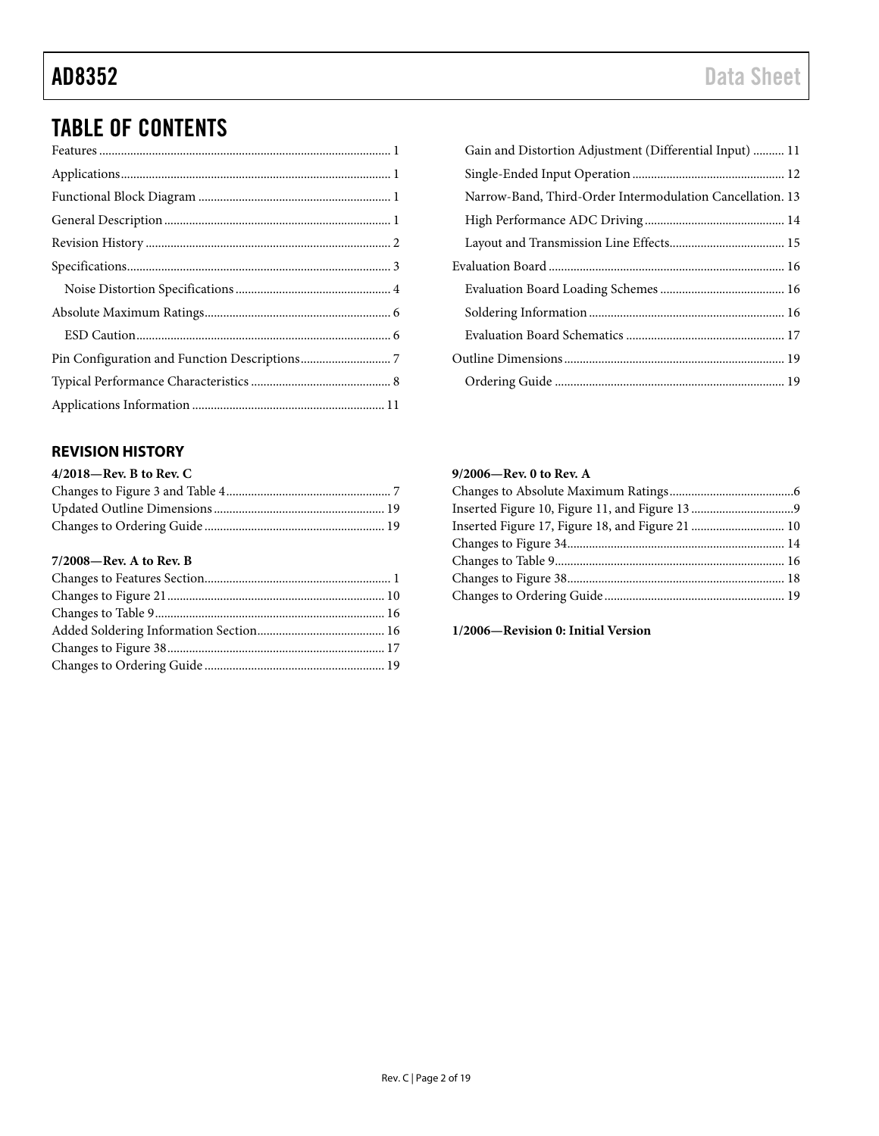## TABLE OF CONTENTS

## <span id="page-1-0"></span>**REVISION HISTORY**

| $4/2018$ —Rev. B to Rev. C |
|----------------------------|
|----------------------------|

## **7/2008—Rev. A to Rev. B**

| Gain and Distortion Adjustment (Differential Input)  11   |  |
|-----------------------------------------------------------|--|
|                                                           |  |
| Narrow-Band, Third-Order Intermodulation Cancellation. 13 |  |
|                                                           |  |
|                                                           |  |
|                                                           |  |
|                                                           |  |
|                                                           |  |
|                                                           |  |
|                                                           |  |
|                                                           |  |

### **9/2006—Rev. 0 to Rev. A**

| Inserted Figure 17, Figure 18, and Figure 21  10 |  |
|--------------------------------------------------|--|
|                                                  |  |
|                                                  |  |
|                                                  |  |
|                                                  |  |
|                                                  |  |

**1/2006—Revision 0: Initial Version**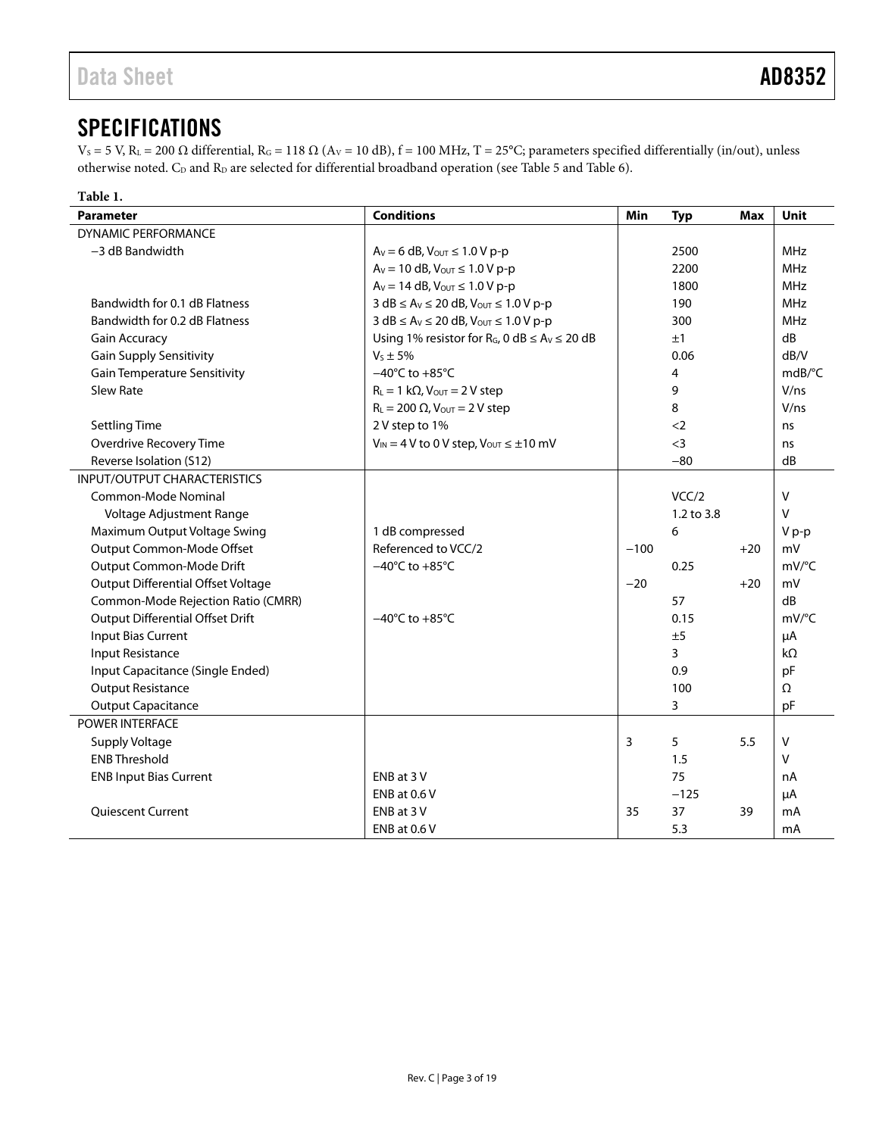## <span id="page-2-0"></span>**SPECIFICATIONS**

 $V_s = 5$  V, R<sub>L</sub> = 200 Ω differential, R<sub>G</sub> = 118 Ω (A<sub>V</sub> = 10 dB), f = 100 MHz, T = 25°C; parameters specified differentially (in/out), unless otherwise noted.  $C_D$  and  $R_D$  are selected for differential broadband operation (see [Table 5](#page-10-2) an[d Table 6\)](#page-10-3).

| Table 1.                                |                                                                                |        |            |       |                     |
|-----------------------------------------|--------------------------------------------------------------------------------|--------|------------|-------|---------------------|
| <b>Parameter</b>                        | <b>Conditions</b>                                                              | Min    | <b>Typ</b> | Max   | Unit                |
| <b>DYNAMIC PERFORMANCE</b>              |                                                                                |        |            |       |                     |
| -3 dB Bandwidth                         | $A_V = 6$ dB, $V_{OUT} \le 1.0$ V p-p                                          |        | 2500       |       | MHz                 |
|                                         | $A_V = 10$ dB, $V_{OUT} \le 1.0$ V p-p                                         |        | 2200       |       | <b>MHz</b>          |
|                                         | $A_V = 14$ dB, $V_{OUT} \le 1.0$ V p-p                                         |        | 1800       |       | <b>MHz</b>          |
| Bandwidth for 0.1 dB Flatness           | $3 dB \le A_V \le 20 dB$ , $V_{OUT} \le 1.0 V p-p$                             |        | 190        |       | <b>MHz</b>          |
| Bandwidth for 0.2 dB Flatness           | $3 dB \le Av \le 20 dB$ , $V_{\text{OUT}} \le 1.0 V p-p$                       |        | 300        |       | <b>MHz</b>          |
| Gain Accuracy                           | Using 1% resistor for R <sub>G</sub> , 0 dB $\leq$ A <sub>V</sub> $\leq$ 20 dB |        | ±1         |       | dB                  |
| <b>Gain Supply Sensitivity</b>          | $V_s \pm 5\%$                                                                  |        | 0.06       |       | dB/V                |
| <b>Gain Temperature Sensitivity</b>     | $-40^{\circ}$ C to $+85^{\circ}$ C                                             |        | 4          |       | mdB/°C              |
| <b>Slew Rate</b>                        | $R_L = 1 k\Omega$ , $V_{OUT} = 2 V$ step                                       |        | 9          |       | V/ns                |
|                                         | $R_L = 200 \Omega$ , $V_{\text{OUT}} = 2 V$ step                               |        | 8          |       | V/ns                |
| <b>Settling Time</b>                    | 2 V step to 1%                                                                 |        | $<$ 2      |       | ns                  |
| Overdrive Recovery Time                 | $V_{IN} = 4 V$ to 0 V step, $V_{OUT} \leq \pm 10$ mV                           |        | $<$ 3      |       | ns                  |
| Reverse Isolation (S12)                 |                                                                                |        | $-80$      |       | dB                  |
| <b>INPUT/OUTPUT CHARACTERISTICS</b>     |                                                                                |        |            |       |                     |
| Common-Mode Nominal                     |                                                                                |        | VCC/2      |       | V                   |
| Voltage Adjustment Range                |                                                                                |        | 1.2 to 3.8 |       | v                   |
| Maximum Output Voltage Swing            | 1 dB compressed                                                                |        | 6          |       | V p-p               |
| Output Common-Mode Offset               | Referenced to VCC/2                                                            | $-100$ |            | $+20$ | mV                  |
| Output Common-Mode Drift                | $-40^{\circ}$ C to $+85^{\circ}$ C                                             |        | 0.25       |       | $mV$ <sup>o</sup> C |
| Output Differential Offset Voltage      |                                                                                | $-20$  |            | $+20$ | mV                  |
| Common-Mode Rejection Ratio (CMRR)      |                                                                                |        | 57         |       | dB                  |
| <b>Output Differential Offset Drift</b> | $-40^{\circ}$ C to $+85^{\circ}$ C                                             |        | 0.15       |       | $mV$ <sup>o</sup> C |
| <b>Input Bias Current</b>               |                                                                                |        | ±5         |       | μA                  |
| <b>Input Resistance</b>                 |                                                                                |        | 3          |       | $k\Omega$           |
| Input Capacitance (Single Ended)        |                                                                                |        | 0.9        |       | pF                  |
| <b>Output Resistance</b>                |                                                                                |        | 100        |       | Ω                   |
| <b>Output Capacitance</b>               |                                                                                |        | 3          |       | pF                  |
| POWER INTERFACE                         |                                                                                |        |            |       |                     |
| Supply Voltage                          |                                                                                | 3      | 5          | 5.5   | ٧                   |
| <b>ENB Threshold</b>                    |                                                                                |        | 1.5        |       | V                   |
| <b>ENB Input Bias Current</b>           | ENB at 3 V                                                                     |        | 75         |       | nA                  |
|                                         | ENB at 0.6 V                                                                   |        | $-125$     |       | μA                  |
| <b>Quiescent Current</b>                | ENB at 3 V                                                                     | 35     | 37         | 39    | mA                  |
|                                         | ENB at 0.6 V                                                                   |        | 5.3        |       | mA                  |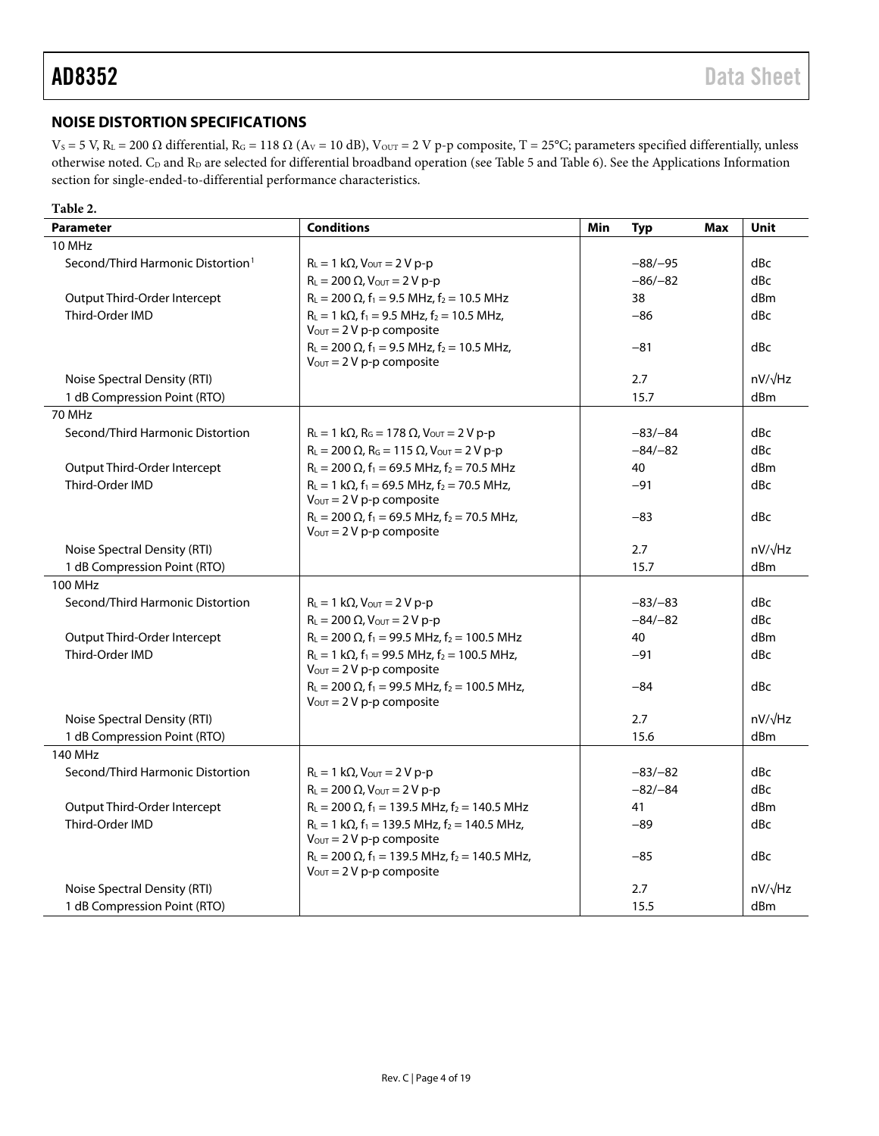## <span id="page-3-0"></span>**NOISE DISTORTION SPECIFICATIONS**

 $V_s = 5$  V, R<sub>L</sub> = 200 Ω differential, R<sub>G</sub> = 118 Ω (A<sub>V</sub> = 10 dB), V<sub>OUT</sub> = 2 V p-p composite, T = 25°C; parameters specified differentially, unless otherwise noted. C<sub>D</sub> and R<sub>D</sub> are selected for differential broadband operation (see [Table 5](#page-10-2) an[d Table 6\)](#page-10-3). See th[e Applications Information](#page-10-0) section for single-ended-to-differential performance characteristics.

<span id="page-3-1"></span>

| Table 2.                                      |                                                                                                      |                          |                |
|-----------------------------------------------|------------------------------------------------------------------------------------------------------|--------------------------|----------------|
| <b>Parameter</b>                              | <b>Conditions</b>                                                                                    | Min<br>Max<br><b>Typ</b> | Unit           |
| 10 MHz                                        |                                                                                                      |                          |                |
| Second/Third Harmonic Distortion <sup>1</sup> | $R_L = 1 k\Omega$ , $V_{OUT} = 2 V p-p$                                                              | $-88/-95$                | dBc            |
|                                               | $R_L = 200 \Omega$ , $V_{OUT} = 2 V p-p$                                                             | $-86/-82$                | dBc            |
| Output Third-Order Intercept                  | $R_L = 200 \Omega$ , $f_1 = 9.5$ MHz, $f_2 = 10.5$ MHz                                               | 38                       | dBm            |
| Third-Order IMD                               | $R_L = 1 k\Omega$ , $f_1 = 9.5 MHz$ , $f_2 = 10.5 MHz$ ,<br>$V_{\text{OUT}} = 2 V p-p$ composite     | $-86$                    | dBc            |
|                                               | $R_1 = 200 \Omega$ , $f_1 = 9.5$ MHz, $f_2 = 10.5$ MHz,<br>$V_{\text{OUT}} = 2 V p-p$ composite      | $-81$                    | dBc            |
| Noise Spectral Density (RTI)                  |                                                                                                      | 2.7                      | $nV/\sqrt{Hz}$ |
| 1 dB Compression Point (RTO)                  |                                                                                                      | 15.7                     | dBm            |
| 70 MHz                                        |                                                                                                      |                          |                |
| Second/Third Harmonic Distortion              | $R_L = 1 k\Omega$ , $R_G = 178 \Omega$ , $V_{OUT} = 2 V p-p$                                         | $-83/-84$                | dBc            |
|                                               | $R_L = 200 \Omega$ , $R_G = 115 \Omega$ , $V_{OUT} = 2 V p-p$                                        | $-84/-82$                | dBc            |
| Output Third-Order Intercept                  | $R_1 = 200 \Omega$ , $f_1 = 69.5$ MHz, $f_2 = 70.5$ MHz                                              | 40                       | dBm            |
| Third-Order IMD                               | $R_L = 1 k\Omega$ , $f_1 = 69.5 MHz$ , $f_2 = 70.5 MHz$ ,<br>$V_{\text{OUT}} = 2 V p-p$ composite    | $-91$                    | dBc            |
|                                               | $R_1 = 200 \Omega$ , $f_1 = 69.5$ MHz, $f_2 = 70.5$ MHz,<br>$V_{\text{OUT}} = 2 V p-p$ composite     | $-83$                    | dBc            |
| Noise Spectral Density (RTI)                  |                                                                                                      | 2.7                      | $nV/\sqrt{Hz}$ |
| 1 dB Compression Point (RTO)                  |                                                                                                      | 15.7                     | dBm            |
| <b>100 MHz</b>                                |                                                                                                      |                          |                |
| Second/Third Harmonic Distortion              | $R_L = 1 k\Omega$ , $V_{OUT} = 2 V p-p$                                                              | $-83/-83$                | dBc            |
|                                               | $R_L = 200 \Omega$ , $V_{OUT} = 2 V p-p$                                                             | $-84/-82$                | dBc            |
| Output Third-Order Intercept                  | $R_L$ = 200 $\Omega$ , $f_1$ = 99.5 MHz, $f_2$ = 100.5 MHz                                           | 40                       | dBm            |
| Third-Order IMD                               | $R_L = 1 k\Omega$ , $f_1 = 99.5 MHz$ , $f_2 = 100.5 MHz$ ,<br>$V_{\text{OUT}} = 2 V p-p$ composite   | $-91$                    | dBc            |
|                                               | $R_L$ = 200 $\Omega$ , $f_1$ = 99.5 MHz, $f_2$ = 100.5 MHz,<br>$V_{\text{OUT}} = 2 V p-p$ composite  | $-84$                    | dBc            |
| Noise Spectral Density (RTI)                  |                                                                                                      | 2.7                      | $nV/\sqrt{Hz}$ |
| 1 dB Compression Point (RTO)                  |                                                                                                      | 15.6                     | dBm            |
| <b>140 MHz</b>                                |                                                                                                      |                          |                |
| Second/Third Harmonic Distortion              | $R_L = 1 k\Omega$ , $V_{OUT} = 2 V p-p$                                                              | $-83/-82$                | dBc            |
|                                               | $R_L = 200 \Omega$ , $V_{\text{OUT}} = 2 V p - p$                                                    | $-82/-84$                | dBc            |
| Output Third-Order Intercept                  | $R_L$ = 200 $\Omega$ , $f_1$ = 139.5 MHz, $f_2$ = 140.5 MHz                                          | 41                       | dBm            |
| Third-Order IMD                               | $R_L = 1 k\Omega$ , $f_1 = 139.5 MHz$ , $f_2 = 140.5 MHz$ ,<br>$V_{\text{OUT}} = 2 V p-p$ composite  | $-89$                    | dBc            |
|                                               | $R_L$ = 200 $\Omega$ , $f_1$ = 139.5 MHz, $f_2$ = 140.5 MHz,<br>$V_{\text{OUT}} = 2 V p-p$ composite | $-85$                    | dBc            |
| Noise Spectral Density (RTI)                  |                                                                                                      | 2.7                      | $nV/\sqrt{Hz}$ |
| 1 dB Compression Point (RTO)                  |                                                                                                      | 15.5                     | dBm            |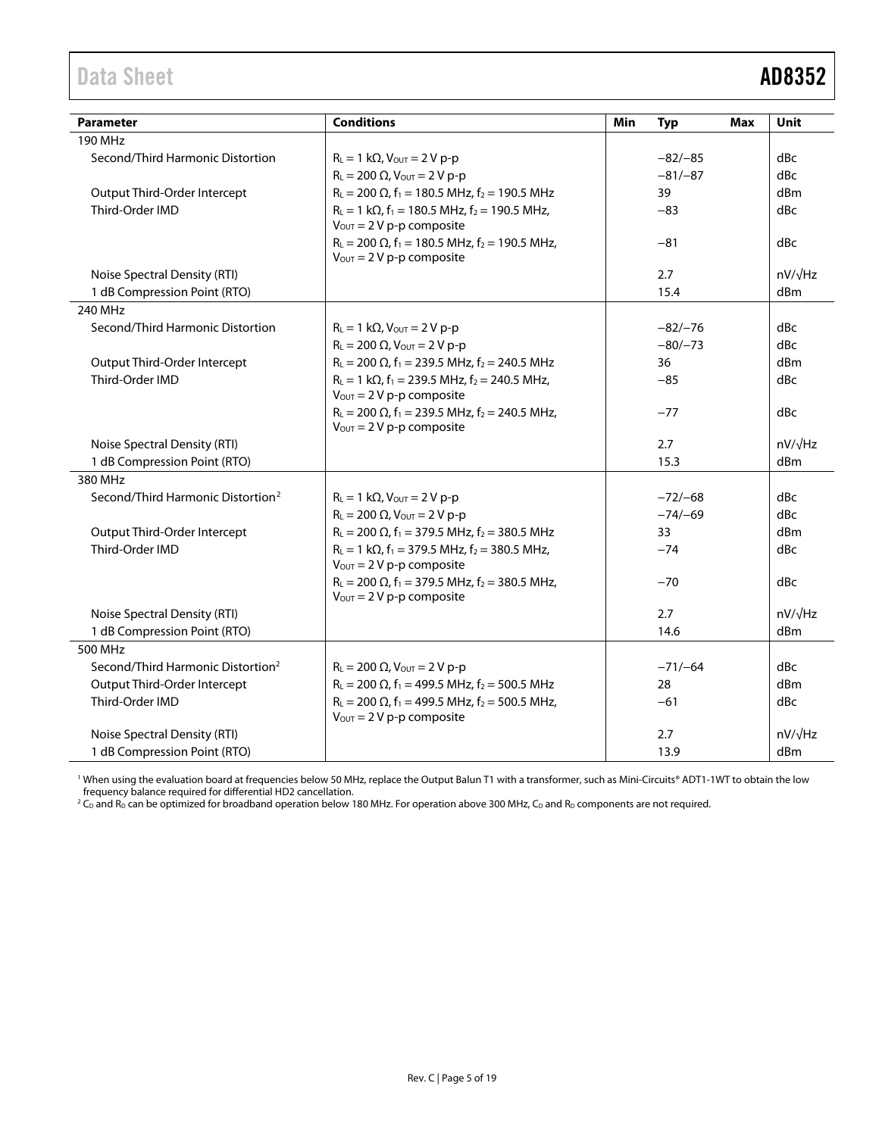<span id="page-4-0"></span>

| <b>Parameter</b>                              | <b>Conditions</b>                                                                                    | Min<br><b>Typ</b><br>Max | <b>Unit</b>     |
|-----------------------------------------------|------------------------------------------------------------------------------------------------------|--------------------------|-----------------|
| <b>190 MHz</b>                                |                                                                                                      |                          |                 |
| Second/Third Harmonic Distortion              | $R_L = 1 k\Omega$ , $V_{OUT} = 2 V p-p$                                                              | $-82/-85$                | dBc             |
|                                               | $R_L = 200 \Omega$ , $V_{OUT} = 2 V p-p$                                                             | $-81/-87$                | dBc             |
| Output Third-Order Intercept                  | $R_L = 200 \Omega$ , $f_1 = 180.5$ MHz, $f_2 = 190.5$ MHz                                            | 39                       | d <sub>Bm</sub> |
| Third-Order IMD                               | $R_L = 1 k\Omega$ , $f_1 = 180.5 MHz$ , $f_2 = 190.5 MHz$ ,<br>$V_{\text{OUT}} = 2 V p-p$ composite  | $-83$                    | $d$ Bc          |
|                                               | $R_L = 200 \Omega$ , $f_1 = 180.5$ MHz, $f_2 = 190.5$ MHz,<br>$V_{\text{OUT}} = 2 V p-p$ composite   | $-81$                    | dBc             |
| Noise Spectral Density (RTI)                  |                                                                                                      | 2.7                      | $nV/\sqrt{Hz}$  |
| 1 dB Compression Point (RTO)                  |                                                                                                      | 15.4                     | dBm             |
| 240 MHz                                       |                                                                                                      |                          |                 |
| Second/Third Harmonic Distortion              | $R_L = 1 k\Omega$ , $V_{OUT} = 2 V p-p$                                                              | $-82/-76$                | dBc             |
|                                               | $R_L = 200 \Omega$ , $V_{\text{OUT}} = 2 V p-p$                                                      | $-80/-73$                | dBc             |
| Output Third-Order Intercept                  | $R_L = 200 \Omega$ , $f_1 = 239.5$ MHz, $f_2 = 240.5$ MHz                                            | 36                       | dBm             |
| Third-Order IMD                               | $R_L = 1 k\Omega$ , $f_1 = 239.5 MHz$ , $f_2 = 240.5 MHz$ ,<br>$V_{OUT} = 2 V p-p$ composite         | $-85$                    | dBc             |
|                                               | $R_L = 200 \Omega$ , $f_1 = 239.5$ MHz, $f_2 = 240.5$ MHz,<br>$V_{\text{OUT}} = 2 V p-p$ composite   | $-77$                    | dBc             |
| Noise Spectral Density (RTI)                  |                                                                                                      | 2.7                      | $nV/\sqrt{Hz}$  |
| 1 dB Compression Point (RTO)                  |                                                                                                      | 15.3                     | dBm             |
| 380 MHz                                       |                                                                                                      |                          |                 |
| Second/Third Harmonic Distortion <sup>2</sup> | $R_L = 1 k\Omega$ , $V_{OUT} = 2 V p-p$                                                              | $-72/-68$                | dBc             |
|                                               | $R_L = 200 \Omega$ , $V_{OUT} = 2 V p-p$                                                             | $-74/-69$                | dBc             |
| Output Third-Order Intercept                  | $R_L = 200 \Omega$ , $f_1 = 379.5$ MHz, $f_2 = 380.5$ MHz                                            | 33                       | dBm             |
| Third-Order IMD                               | $R_L = 1 k\Omega$ , $f_1 = 379.5 MHz$ , $f_2 = 380.5 MHz$ ,<br>$V_{\text{OUT}} = 2 V p-p$ composite  | $-74$                    | dBc             |
|                                               | $R_L = 200 \Omega$ , $f_1 = 379.5$ MHz, $f_2 = 380.5$ MHz,<br>$V_{\text{OUT}} = 2 V p-p$ composite   | $-70$                    | dBc             |
| Noise Spectral Density (RTI)                  |                                                                                                      | 2.7                      | $nV/\sqrt{Hz}$  |
| 1 dB Compression Point (RTO)                  |                                                                                                      | 14.6                     | dBm             |
| 500 MHz                                       |                                                                                                      |                          |                 |
| Second/Third Harmonic Distortion <sup>2</sup> | $R_L = 200 \Omega$ , $V_{OUT} = 2 V p-p$                                                             | $-71/-64$                | dBc             |
| Output Third-Order Intercept                  | $R_L = 200 \Omega$ , $f_1 = 499.5$ MHz, $f_2 = 500.5$ MHz                                            | 28                       | dBm             |
| Third-Order IMD                               | $R_L$ = 200 $\Omega$ , $f_1$ = 499.5 MHz, $f_2$ = 500.5 MHz,<br>$V_{\text{OUT}} = 2 V p-p$ composite | $-61$                    | dBc             |
| Noise Spectral Density (RTI)                  |                                                                                                      | 2.7                      | $nV/\sqrt{Hz}$  |
| 1 dB Compression Point (RTO)                  |                                                                                                      | 13.9                     | dBm             |

<sup>1</sup> When using the evaluation board at frequencies below 50 MHz, replace the Output Balun T1 with a transformer, such as Mini-Circuits® ADT1-1WT to obtain the low frequency balance required for differential HD2 cancellation.

 $^{2}$ C<sub>D</sub> and R<sub>D</sub> can be optimized for broadband operation below 180 MHz. For operation above 300 MHz, C<sub>D</sub> and R<sub>D</sub> components are not required.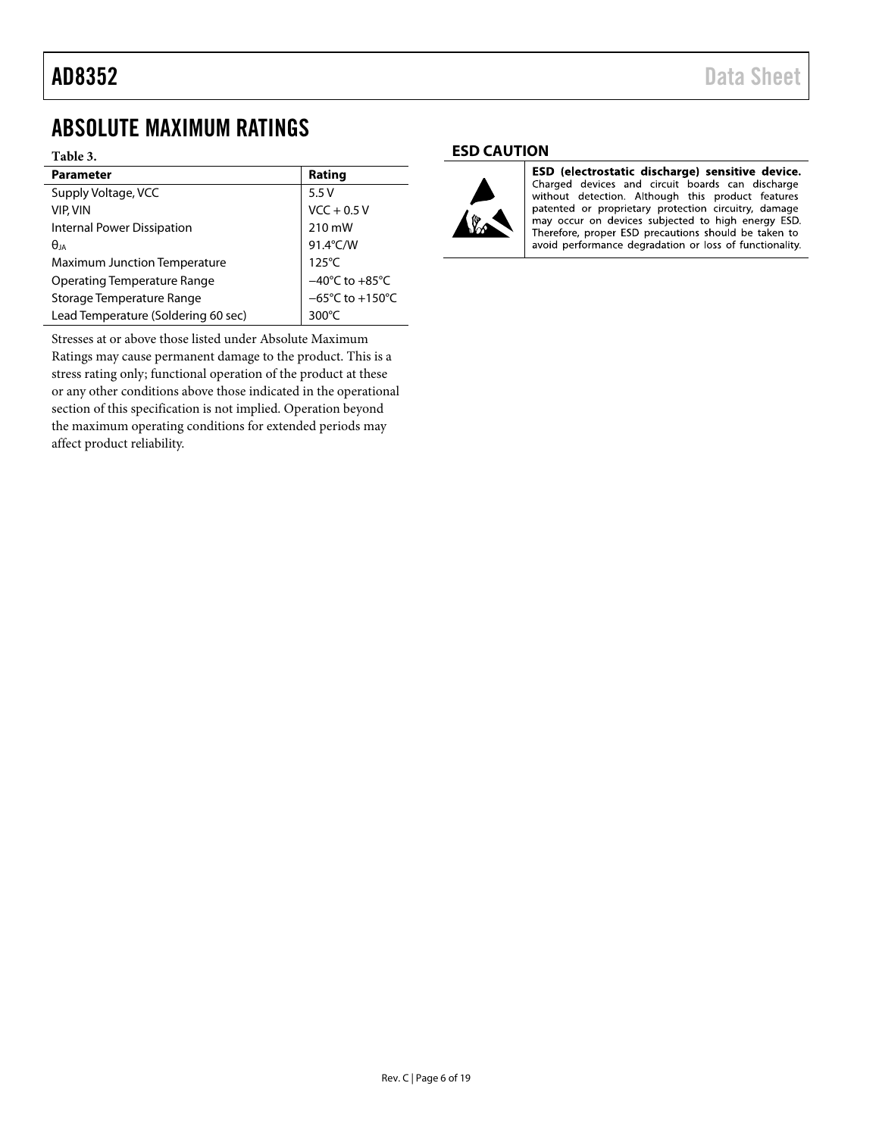## <span id="page-5-0"></span>ABSOLUTE MAXIMUM RATINGS

### **Table 3.**

| <b>Parameter</b>                    | Rating                               |
|-------------------------------------|--------------------------------------|
| Supply Voltage, VCC                 | 5.5V                                 |
| VIP, VIN                            | $VCC + 0.5 V$                        |
| <b>Internal Power Dissipation</b>   | 210 mW                               |
| $\theta_{IA}$                       | 91.4°C/W                             |
| Maximum Junction Temperature        | $125^{\circ}$ C                      |
| <b>Operating Temperature Range</b>  | $-40^{\circ}$ C to $+85^{\circ}$ C   |
| Storage Temperature Range           | $-65^{\circ}$ C to +150 $^{\circ}$ C |
| Lead Temperature (Soldering 60 sec) | $300^{\circ}$ C                      |

Stresses at or above those listed under Absolute Maximum Ratings may cause permanent damage to the product. This is a stress rating only; functional operation of the product at these or any other conditions above those indicated in the operational section of this specification is not implied. Operation beyond the maximum operating conditions for extended periods may affect product reliability.

### <span id="page-5-1"></span>**ESD CAUTION**



ESD (electrostatic discharge) sensitive device. Charged devices and circuit boards can discharge without detection. Although this product features patented or proprietary protection circuitry, damage may occur on devices subjected to high energy ESD. Therefore, proper ESD precautions should be taken to avoid performance degradation or loss of functionality.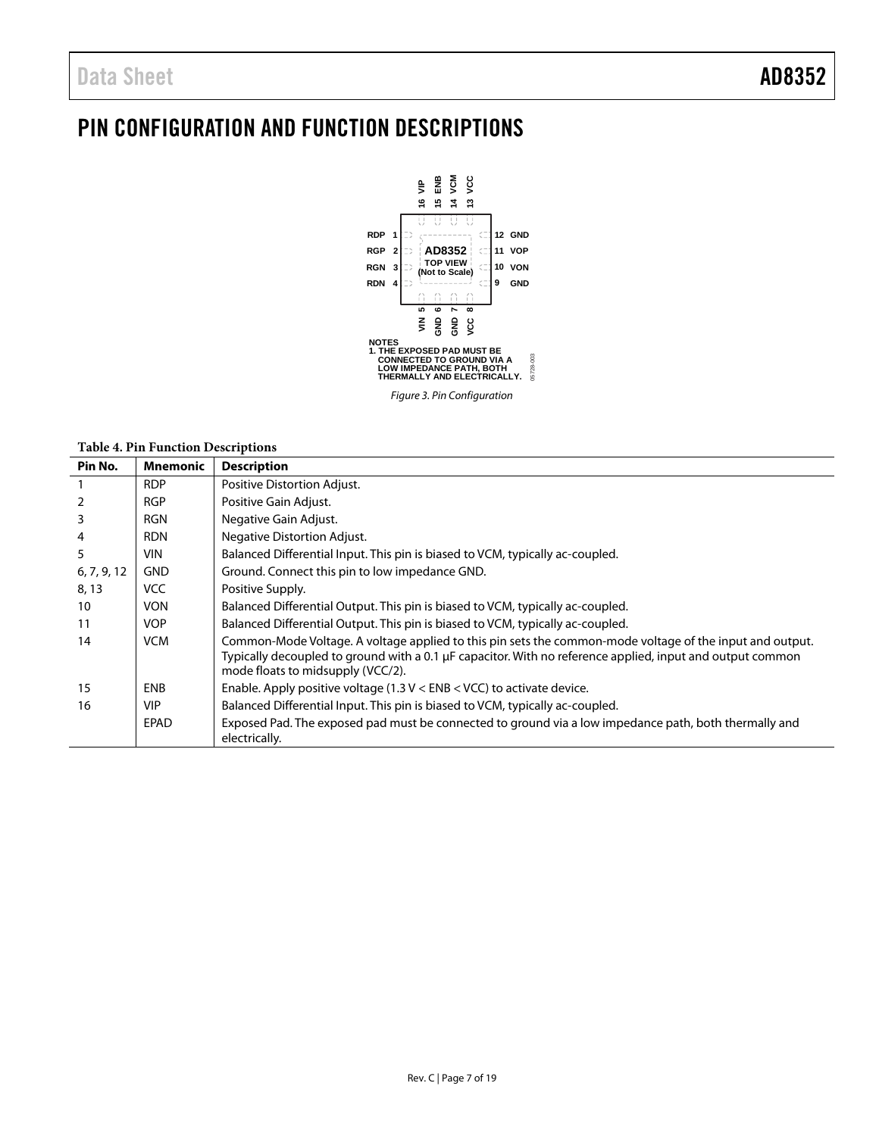## <span id="page-6-0"></span>PIN CONFIGURATION AND FUNCTION DESCRIPTIONS



### **Table 4. Pin Function Descriptions**

| Pin No.     | <b>Mnemonic</b> | <b>Description</b>                                                                                                                                                                                                                                         |
|-------------|-----------------|------------------------------------------------------------------------------------------------------------------------------------------------------------------------------------------------------------------------------------------------------------|
|             | <b>RDP</b>      | Positive Distortion Adjust.                                                                                                                                                                                                                                |
|             | <b>RGP</b>      | Positive Gain Adjust.                                                                                                                                                                                                                                      |
| 3           | <b>RGN</b>      | Negative Gain Adjust.                                                                                                                                                                                                                                      |
| 4           | <b>RDN</b>      | Negative Distortion Adjust.                                                                                                                                                                                                                                |
| 5.          | <b>VIN</b>      | Balanced Differential Input. This pin is biased to VCM, typically ac-coupled.                                                                                                                                                                              |
| 6, 7, 9, 12 | <b>GND</b>      | Ground. Connect this pin to low impedance GND.                                                                                                                                                                                                             |
| 8, 13       | <b>VCC</b>      | Positive Supply.                                                                                                                                                                                                                                           |
| 10          | <b>VON</b>      | Balanced Differential Output. This pin is biased to VCM, typically ac-coupled.                                                                                                                                                                             |
| 11          | <b>VOP</b>      | Balanced Differential Output. This pin is biased to VCM, typically ac-coupled.                                                                                                                                                                             |
| 14          | <b>VCM</b>      | Common-Mode Voltage. A voltage applied to this pin sets the common-mode voltage of the input and output.<br>Typically decoupled to ground with a 0.1 µF capacitor. With no reference applied, input and output common<br>mode floats to midsupply (VCC/2). |
| 15          | <b>ENB</b>      | Enable. Apply positive voltage $(1.3 V < ENB < VCC)$ to activate device.                                                                                                                                                                                   |
| 16          | <b>VIP</b>      | Balanced Differential Input. This pin is biased to VCM, typically ac-coupled.                                                                                                                                                                              |
|             | EPAD            | Exposed Pad. The exposed pad must be connected to ground via a low impedance path, both thermally and<br>electrically.                                                                                                                                     |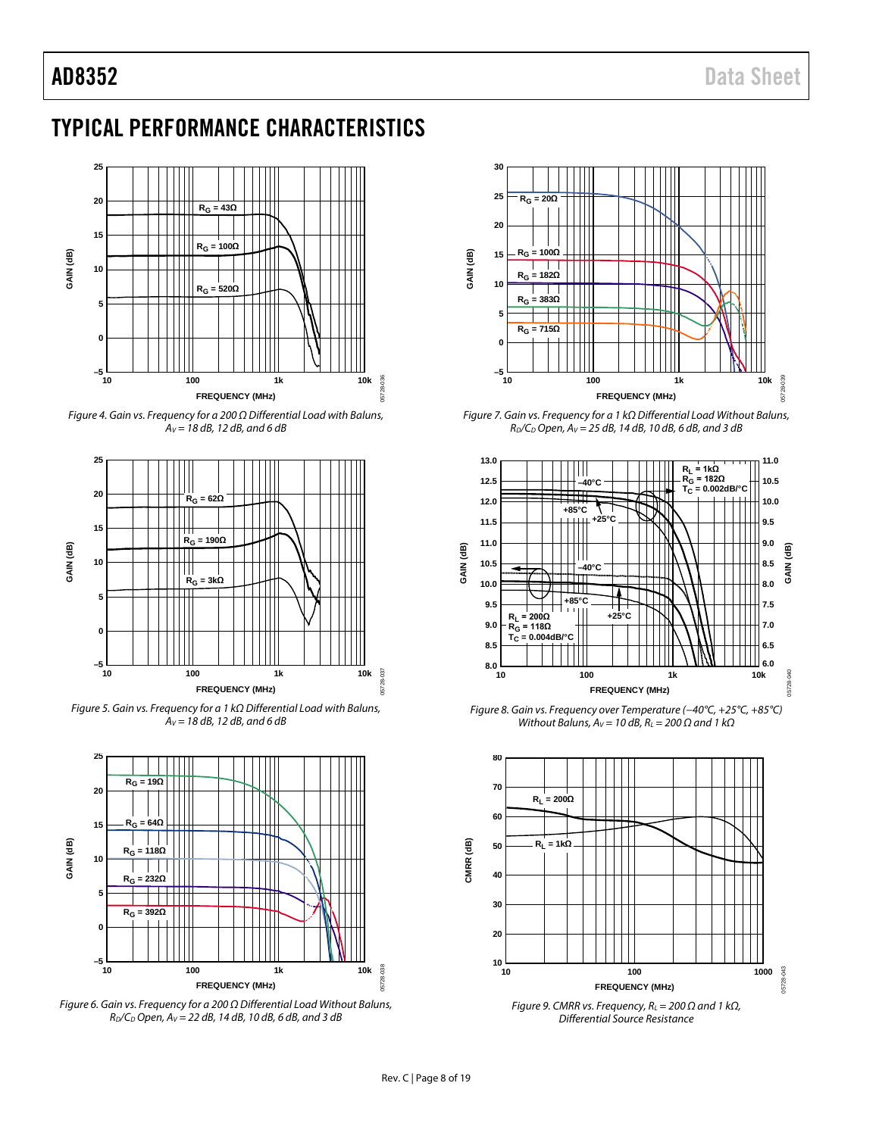## <span id="page-7-0"></span>TYPICAL PERFORMANCE CHARACTERISTICS



*Figure 4. Gain vs. Frequency for a 200 Ω Differential Load with Baluns, AV = 18 dB, 12 dB, and 6 dB*



*Figure 5. Gain vs. Frequency for a 1 kΩ Differential Load with Baluns, AV = 18 dB, 12 dB, and 6 dB*



*Figure 6. Gain vs. Frequency for a 200 Ω Differential Load Without Baluns, RD/CD Open, AV = 22 dB, 14 dB, 10 dB, 6 dB, and 3 dB*



*Figure 7. Gain vs. Frequency for a 1 kΩ Differential Load Without Baluns, RD/CD Open, AV = 25 dB, 14 dB, 10 dB, 6 dB, and 3 dB*



*Figure 8. Gain vs. Frequency over Temperature (−40°C, +25°C, +85°C) Without Baluns, AV = 10 dB, RL = 200 Ω and 1 kΩ*



*Figure 9. CMRR vs. Frequency, RL = 200 Ω and 1 kΩ, Differential Source Resistance*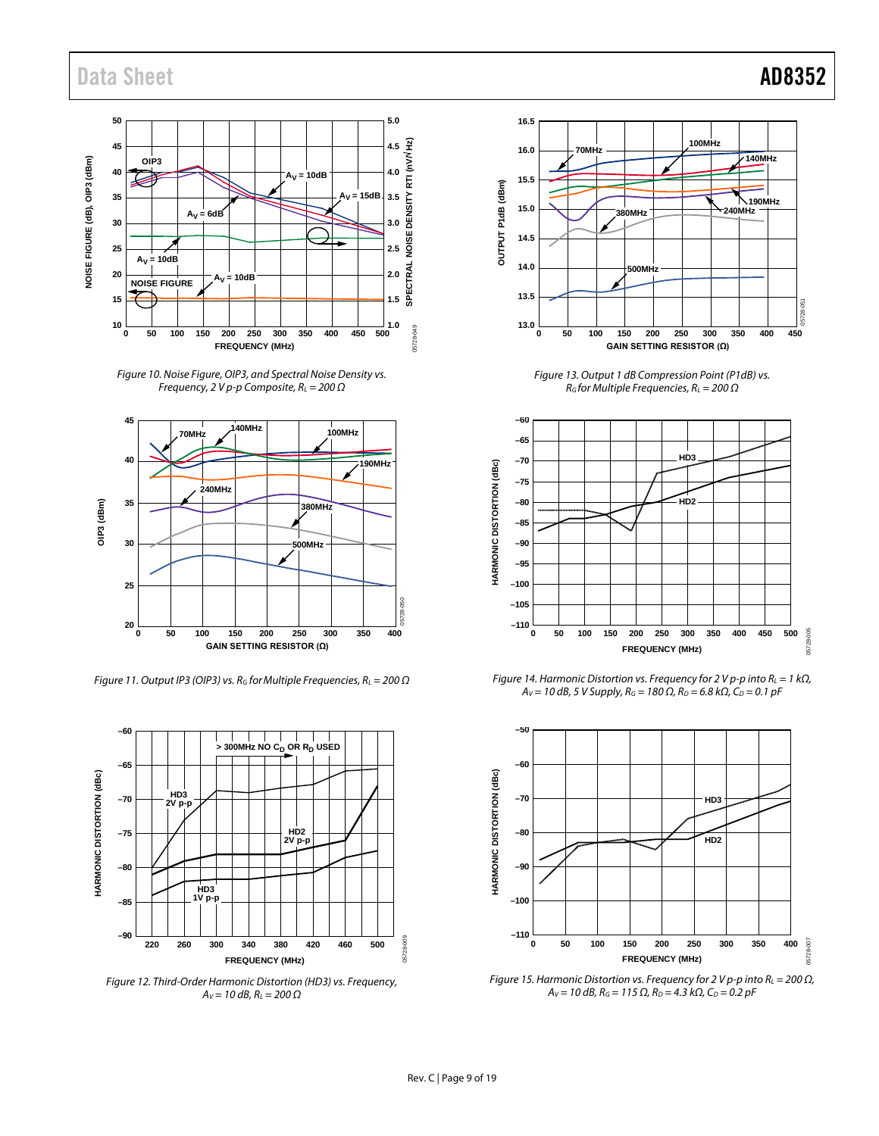

*Figure 10. Noise Figure, OIP3, and Spectral Noise Density vs. Frequency, 2 V p-p Composite, RL = 200 Ω*



*Figure 11. Output IP3 (OIP3) vs. RG forMultiple Frequencies, RL = 200 Ω*



<span id="page-8-0"></span>*Figure 12. Third-Order Harmonic Distortion (HD3) vs. Frequency, AV = 10 dB, RL = 200 Ω* 



*Figure 13. Output 1 dB Compression Point (P1dB) vs. RG for Multiple Frequencies, RL = 200 Ω*



<span id="page-8-1"></span>*Figure 14. Harmonic Distortion vs. Frequency for 2 V p-p into RL = 1 kΩ,*  $A_V$  = 10 dB, 5 V Supply,  $R_G$  = 180 Ω,  $R_D$  = 6.8 kΩ,  $C_D$  = 0.1 pF



<span id="page-8-2"></span>*Figure 15. Harmonic Distortion vs. Frequency for 2 V p-p into RL = 200 Ω,*  $A_V = 10$  *dB, R<sub>G</sub>* = 115  $\Omega$ ,  $R_D = 4.3$  *k* $\Omega$ ,  $C_D = 0.2$  *pF*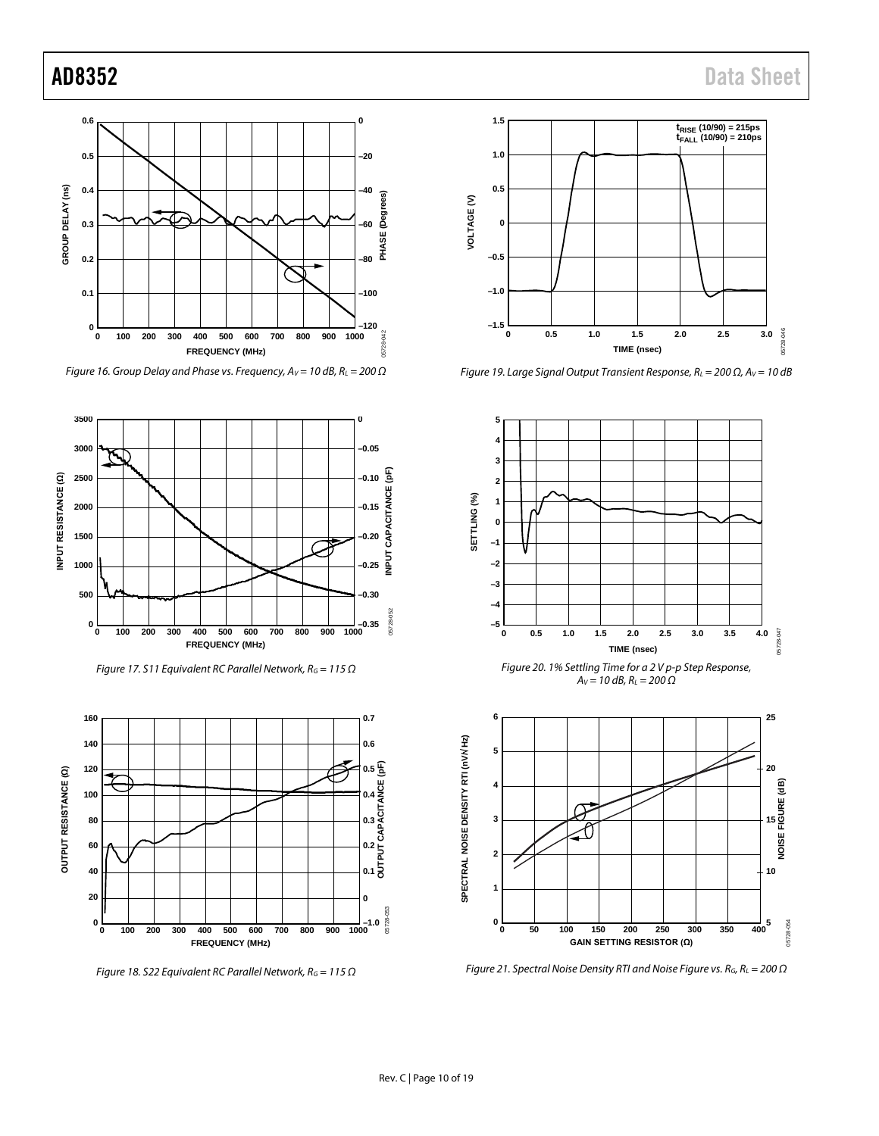

*Figure 16. Group Delay and Phase vs. Frequency, AV = 10 dB, RL = 200 Ω*



*Figure 17. S11 Equivalent RC Parallel Network, RG = 115 Ω*



*Figure 18. S22 Equivalent RC Parallel Network, R<sub>G</sub>* = 115 Ω



*Figure 19. Large Signal Output Transient Response, RL = 200 Ω, AV = 10 dB*





*Figure 21. Spectral Noise Density RTI and Noise Figure vs. RG, RL = 200 Ω*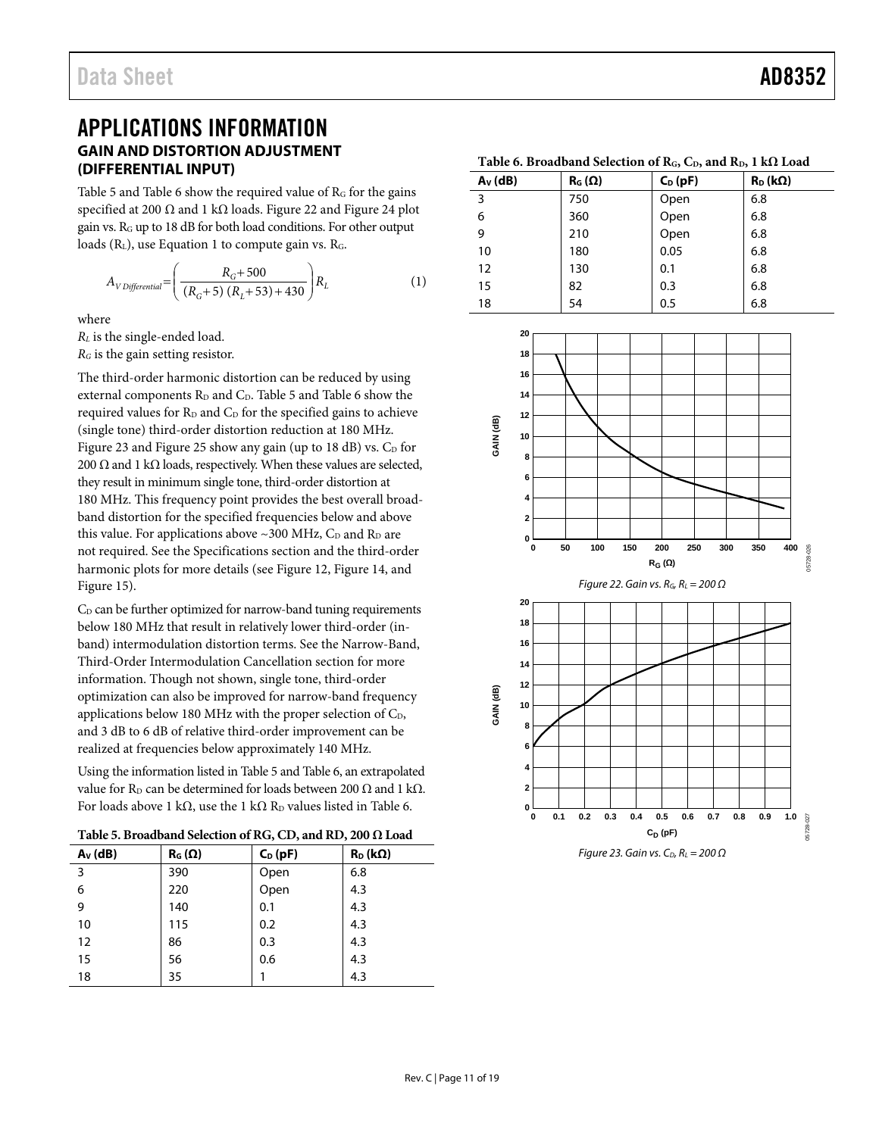## <span id="page-10-1"></span><span id="page-10-0"></span>APPLICATIONS INFORMATION **GAIN AND DISTORTION ADJUSTMENT (DIFFERENTIAL INPUT)**

[Table 5](#page-10-2) an[d Table 6](#page-10-3) show the required value of  $R<sub>G</sub>$  for the gains specified at 200 Ω and 1 kΩ loads. [Figure 22](#page-10-4) an[d Figure 24](#page-11-1) plot gain vs. RG up to 18 dB for both load conditions. For other output loads (RL), use Equation 1 to compute gain vs. RG.

$$
A_{VDifferential} = \left(\frac{R_G + 500}{(R_G + 5)(R_L + 53) + 430}\right) R_L
$$
 (1)

where

*RL* is the single-ended load.

*RG* is the gain setting resistor.

The third-order harmonic distortion can be reduced by using external components  $R_D$  and  $C_D$ . [Table 5](#page-10-2) an[d Table 6](#page-10-3) show the required values for  $R_D$  and  $C_D$  for the specified gains to achieve (single tone) third-order distortion reduction at 180 MHz. [Figure 23](#page-10-5) and [Figure 25](#page-11-2) show any gain (up to 18 dB) vs.  $C_D$  for 200 Ω and 1 kΩ loads, respectively. When these values are selected, they result in minimum single tone, third-order distortion at 180 MHz. This frequency point provides the best overall broadband distortion for the specified frequencies below and above this value. For applications above  $\sim$  300 MHz, C<sub>D</sub> and R<sub>D</sub> are not required. See th[e Specifications](#page-2-0) section and the third-order harmonic plots for more details (se[e Figure 12,](#page-8-0) [Figure 14,](#page-8-1) and [Figure 15\)](#page-8-2).

 $C<sub>D</sub>$  can be further optimized for narrow-band tuning requirements below 180 MHz that result in relatively lower third-order (inband) intermodulation distortion terms. See the [Narrow-Band,](#page-12-0)  [Third-Order Intermodulation Cancellation](#page-12-0) section for more information. Though not shown, single tone, third-order optimization can also be improved for narrow-band frequency applications below 180 MHz with the proper selection of  $C_D$ , and 3 dB to 6 dB of relative third-order improvement can be realized at frequencies below approximately 140 MHz.

Using the information listed i[n Table 5](#page-10-2) an[d Table 6,](#page-10-3) an extrapolated value for R<sub>D</sub> can be determined for loads between 200 Ω and 1 kΩ. For loads above 1 kΩ, use the 1 kΩ R<sub>D</sub> values listed in Table 6.

<span id="page-10-2"></span>

<span id="page-10-6"></span>

| $A_V$ (dB) | $R_G(\Omega)$ | $C_D(pF)$ | $R_D$ (k $\Omega$ ) |
|------------|---------------|-----------|---------------------|
| 3          | 390           | Open      | 6.8                 |
| 6          | 220           | Open      | 4.3                 |
| 9          | 140           | 0.1       | 4.3                 |
| 10         | 115           | 0.2       | 4.3                 |
| 12         | 86            | 0.3       | 4.3                 |
| 15         | 56            | 0.6       | 4.3                 |
| 18         | 35            |           | 4.3                 |

<span id="page-10-3"></span>

| Table 6. Broadband Selection of $R_G$ , $C_D$ , and $R_D$ , 1 k $\Omega$ Load |  |  |
|-------------------------------------------------------------------------------|--|--|
|-------------------------------------------------------------------------------|--|--|

| $A_V$ (dB) | $R_G(\Omega)$ | $C_D(pF)$ | $R_D$ (k $\Omega$ ) |
|------------|---------------|-----------|---------------------|
| 3          | 750           | Open      | 6.8                 |
| 6          | 360           | Open      | 6.8                 |
| 9          | 210           | Open      | 6.8                 |
| 10         | 180           | 0.05      | 6.8                 |
| 12         | 130           | 0.1       | 6.8                 |
| 15         | 82            | 0.3       | 6.8                 |
| 18         | 54            | 0.5       | 6.8                 |

<span id="page-10-4"></span>

<span id="page-10-5"></span>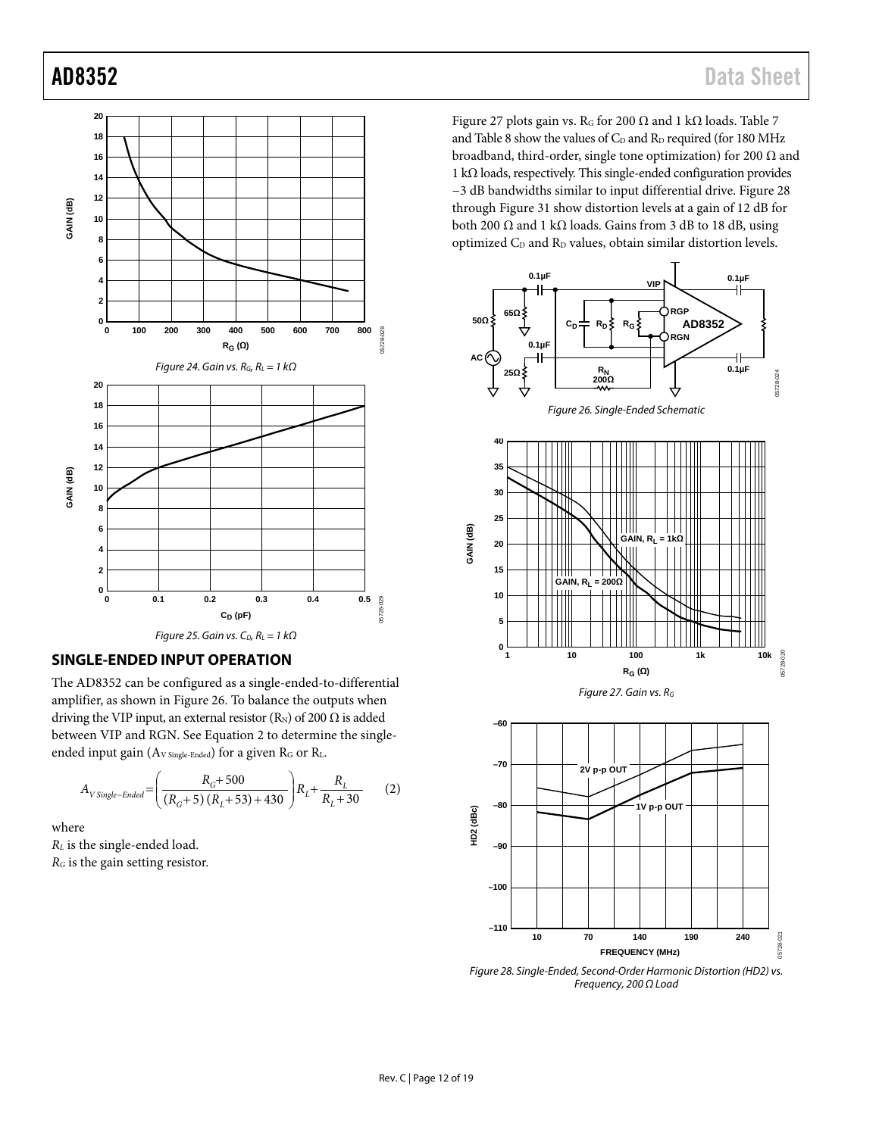<span id="page-11-1"></span>

## <span id="page-11-2"></span><span id="page-11-0"></span>**SINGLE-ENDED INPUT OPERATION**

The AD8352 can be configured as a single-ended-to-differential amplifier, as shown in [Figure 26.](#page-11-3) To balance the outputs when driving the VIP input, an external resistor (R<sub>N</sub>) of 200  $\Omega$  is added between VIP and RGN. See Equation 2 to determine the singleended input gain (Av single-Ended) for a given RG or RL.

$$
A_{V\,Single-Ended} = \left(\frac{R_G + 500}{\left(R_G + 5\right)\left(R_L + 53\right) + 430}\right)R_L + \frac{R_L}{R_L + 30} \tag{2}
$$

where

*RL* is the single-ended load. *RG* is the gain setting resistor. [Figure 27](#page-11-4) plots gain vs. R<sub>G</sub> for 200  $\Omega$  and 1 k $\Omega$  loads[. Table 7](#page-12-1) an[d Table 8](#page-12-2) show the values of  $C_D$  and  $R_D$  required (for 180 MHz broadband, third-order, single tone optimization) for 200  $\Omega$  and 1 kΩ loads, respectively. This single-ended configuration provides −3 dB bandwidths similar to input differential drive. [Figure 28](#page-11-5) through [Figure 31](#page-12-3) show distortion levels at a gain of 12 dB for both 200  $Ω$  and 1 k $Ω$  loads. Gains from 3 dB to 18 dB, using optimized  $C_D$  and  $R_D$  values, obtain similar distortion levels.

<span id="page-11-3"></span>



<span id="page-11-4"></span>

<span id="page-11-5"></span>*Figure 28. Single-Ended, Second-Order Harmonic Distortion (HD2) vs. Frequency, 200 Ω Load*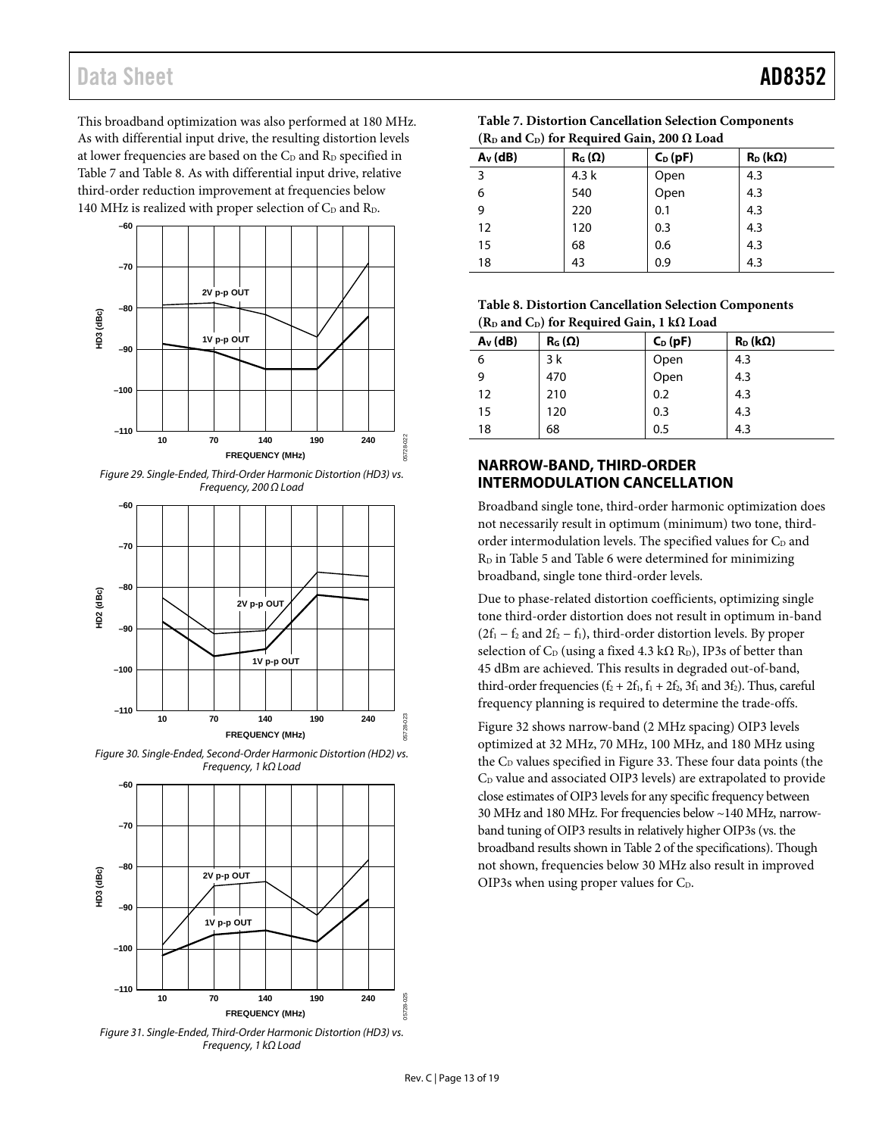This broadband optimization was also performed at 180 MHz. As with differential input drive, the resulting distortion levels at lower frequencies are based on the  $C_D$  and  $R_D$  specified in [Table 7](#page-12-1) an[d Table 8.](#page-12-2) As with differential input drive, relative third-order reduction improvement at frequencies below 140 MHz is realized with proper selection of  $C_D$  and  $R_D$ .



*Figure 29. Single-Ended, Third-Order Harmonic Distortion (HD3) vs. Frequency, 200 Ω Load*



*Figure 30. Single-Ended, Second-Order Harmonic Distortion (HD2) vs. Frequency, 1 kΩ Load*



<span id="page-12-3"></span>*Figure 31. Single-Ended, Third-Order Harmonic Distortion (HD3) vs. Frequency, 1 kΩ Load*

<span id="page-12-1"></span>

| <b>Table 7. Distortion Cancellation Selection Components</b> |
|--------------------------------------------------------------|
| ( $R_D$ and $C_D$ ) for Required Gain, 200 $\Omega$ Load     |

| .          |               |           |                     |  |
|------------|---------------|-----------|---------------------|--|
| $A_V$ (dB) | $R_G(\Omega)$ | $C_D(pF)$ | $R_D$ (k $\Omega$ ) |  |
| 3          | 4.3 k         | Open      | 4.3                 |  |
| 6          | 540           | Open      | 4.3                 |  |
| 9          | 220           | 0.1       | 4.3                 |  |
| 12         | 120           | 0.3       | 4.3                 |  |
| 15         | 68            | 0.6       | 4.3                 |  |
| 18         | 43            | 0.9       | 4.3                 |  |

<span id="page-12-2"></span>

| <b>Table 8. Distortion Cancellation Selection Components</b> |
|--------------------------------------------------------------|
| ( $R_D$ and $C_D$ ) for Required Gain, 1 k $\Omega$ Load     |

| $A_V$ (dB) | $R_G(\Omega)$ | $C_D(pF)$ | $R_D$ (k $\Omega$ ) |  |
|------------|---------------|-----------|---------------------|--|
| 6          | 3 k           | Open      | 4.3                 |  |
| 9          | 470           | Open      | 4.3                 |  |
| 12         | 210           | 0.2       | 4.3                 |  |
| 15         | 120           | 0.3       | 4.3                 |  |
| 18         | 68            | 0.5       | 4.3                 |  |

## <span id="page-12-0"></span>**NARROW-BAND, THIRD-ORDER INTERMODULATION CANCELLATION**

Broadband single tone, third-order harmonic optimization does not necessarily result in optimum (minimum) two tone, thirdorder intermodulation levels. The specified values for  $C_D$  and R<sub>D</sub> in [Table 5](#page-10-2) and [Table 6](#page-10-3) were determined for minimizing broadband, single tone third-order levels.

Due to phase-related distortion coefficients, optimizing single tone third-order distortion does not result in optimum in-band  $(2f_1 - f_2 \text{ and } 2f_2 - f_1)$ , third-order distortion levels. By proper selection of  $C_D$  (using a fixed 4.3 k $\Omega$  R<sub>D</sub>), IP3s of better than 45 dBm are achieved. This results in degraded out-of-band, third-order frequencies ( $f_2 + 2f_1$ ,  $f_1 + 2f_2$ ,  $3f_1$  and  $3f_2$ ). Thus, careful frequency planning is required to determine the trade-offs.

[Figure 32](#page-13-1) shows narrow-band (2 MHz spacing) OIP3 levels optimized at 32 MHz, 70 MHz, 100 MHz, and 180 MHz using the  $C_D$  values specified in [Figure 33.](#page-13-2) These four data points (the C<sub>D</sub> value and associated OIP3 levels) are extrapolated to provide close estimates of OIP3 levels for any specific frequency between 30 MHz and 180 MHz. For frequencies below ~140 MHz, narrowband tuning of OIP3 results in relatively higher OIP3s (vs. the broadband results shown i[n Table 2](#page-3-1) of the specifications). Though not shown, frequencies below 30 MHz also result in improved OIP3s when using proper values for CD.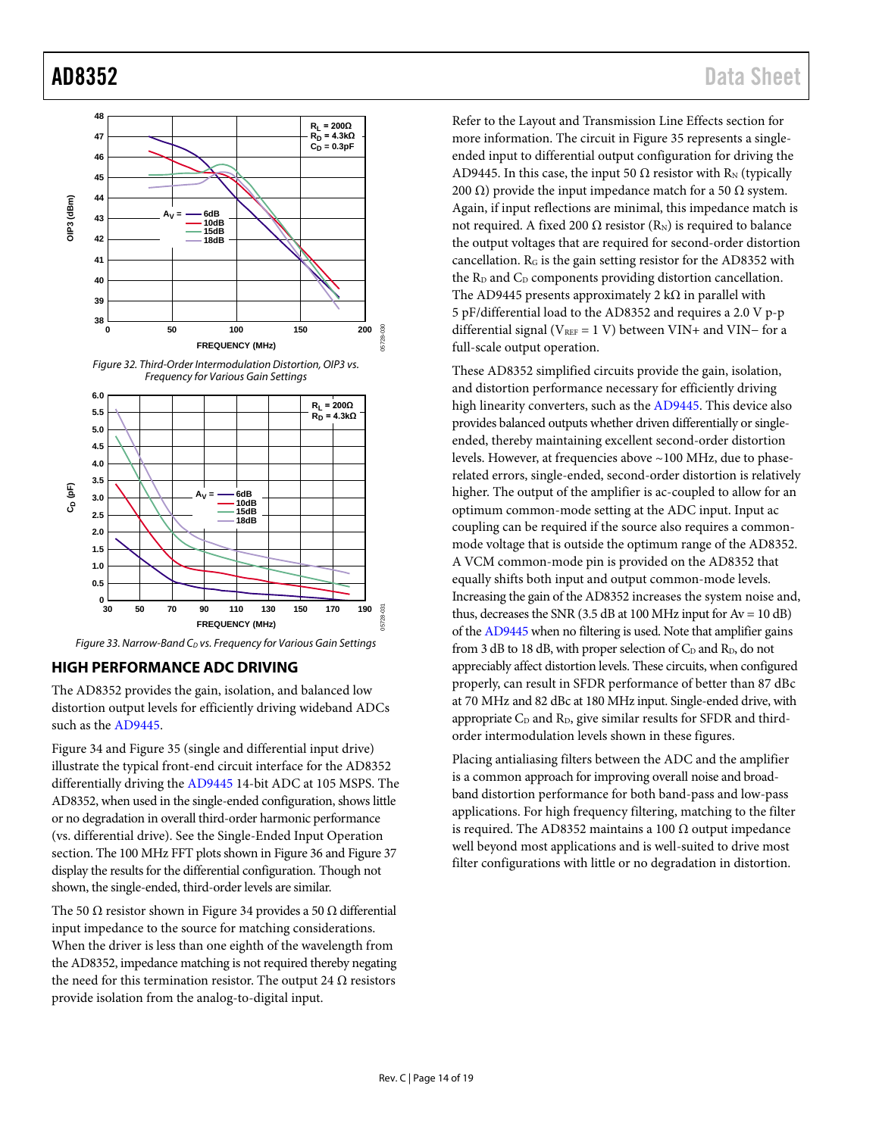

<span id="page-13-1"></span>

<span id="page-13-2"></span>*Figure 33. Narrow-Band C<sub>D</sub> vs. Frequency for Various Gain Settings* 

### <span id="page-13-0"></span>**HIGH PERFORMANCE ADC DRIVING**

The AD8352 provides the gain, isolation, and balanced low distortion output levels for efficiently driving wideband ADCs such as th[e AD9445.](http://www.analog.com/AD9445)

[Figure 34](#page-14-1) and [Figure 35](#page-14-2) (single and differential input drive) illustrate the typical front-end circuit interface for the AD8352 differentially driving th[e AD9445](http://www.analog.com/AD9445) 14-bit ADC at 105 MSPS. The AD8352, when used in the single-ended configuration, shows little or no degradation in overall third-order harmonic performance (vs. differential drive). See th[e Single-Ended Input Operation](#page-11-0) section. The 100 MHz FFT plots shown i[n Figure 36](#page-14-3) an[d Figure 37](#page-14-4) display the results for the differential configuration. Though not shown, the single-ended, third-order levels are similar.

The 50  $\Omega$  resistor shown in [Figure 34](#page-14-1) provides a 50  $\Omega$  differential input impedance to the source for matching considerations. When the driver is less than one eighth of the wavelength from the AD8352, impedance matching is not required thereby negating the need for this termination resistor. The output 24  $\Omega$  resistors provide isolation from the analog-to-digital input.

Refer to th[e Layout and Transmission Line Effects](#page-14-0) section for more information. The circuit in [Figure 35](#page-14-2) represents a singleended input to differential output configuration for driving the [AD9445.](http://www.analog.com/en/prod/0%2C2877%2CAD9445%2C00.html) In this case, the input 50  $\Omega$  resistor with R<sub>N</sub> (typically 200 Ω) provide the input impedance match for a 50 Ω system. Again, if input reflections are minimal, this impedance match is not required. A fixed 200 Ω resistor (R<sub>N</sub>) is required to balance the output voltages that are required for second-order distortion cancellation. R<sub>G</sub> is the gain setting resistor for the AD8352 with the  $R_D$  and  $C_D$  components providing distortion cancellation. The [AD9445](http://www.analog.com/en/prod/0%2C2877%2CAD9445%2C00.html) presents approximately 2 k $\Omega$  in parallel with 5 pF/differential load to the AD8352 and requires a 2.0 V p-p differential signal ( $V_{REF}$  = 1 V) between VIN+ and VIN- for a full-scale output operation.

These AD8352 simplified circuits provide the gain, isolation, and distortion performance necessary for efficiently driving high linearity converters, such as th[e AD9445.](http://www.analog.com/AD9445) This device also provides balanced outputs whether driven differentially or singleended, thereby maintaining excellent second-order distortion levels. However, at frequencies above ~100 MHz, due to phaserelated errors, single-ended, second-order distortion is relatively higher. The output of the amplifier is ac-coupled to allow for an optimum common-mode setting at the ADC input. Input ac coupling can be required if the source also requires a commonmode voltage that is outside the optimum range of the AD8352. A VCM common-mode pin is provided on the AD8352 that equally shifts both input and output common-mode levels. Increasing the gain of the AD8352 increases the system noise and, thus, decreases the SNR (3.5 dB at 100 MHz input for  $Av = 10$  dB) of th[e AD9445](http://www.analog.com/AD9445) when no filtering is used. Note that amplifier gains from 3 dB to 18 dB, with proper selection of  $C_D$  and  $R_D$ , do not appreciably affect distortion levels. These circuits, when configured properly, can result in SFDR performance of better than 87 dBc at 70 MHz and 82 dBc at 180 MHz input. Single-ended drive, with appropriate  $C_D$  and  $R_D$ , give similar results for SFDR and thirdorder intermodulation levels shown in these figures.

Placing antialiasing filters between the ADC and the amplifier is a common approach for improving overall noise and broadband distortion performance for both band-pass and low-pass applications. For high frequency filtering, matching to the filter is required. The AD8352 maintains a 100  $\Omega$  output impedance well beyond most applications and is well-suited to drive most filter configurations with little or no degradation in distortion.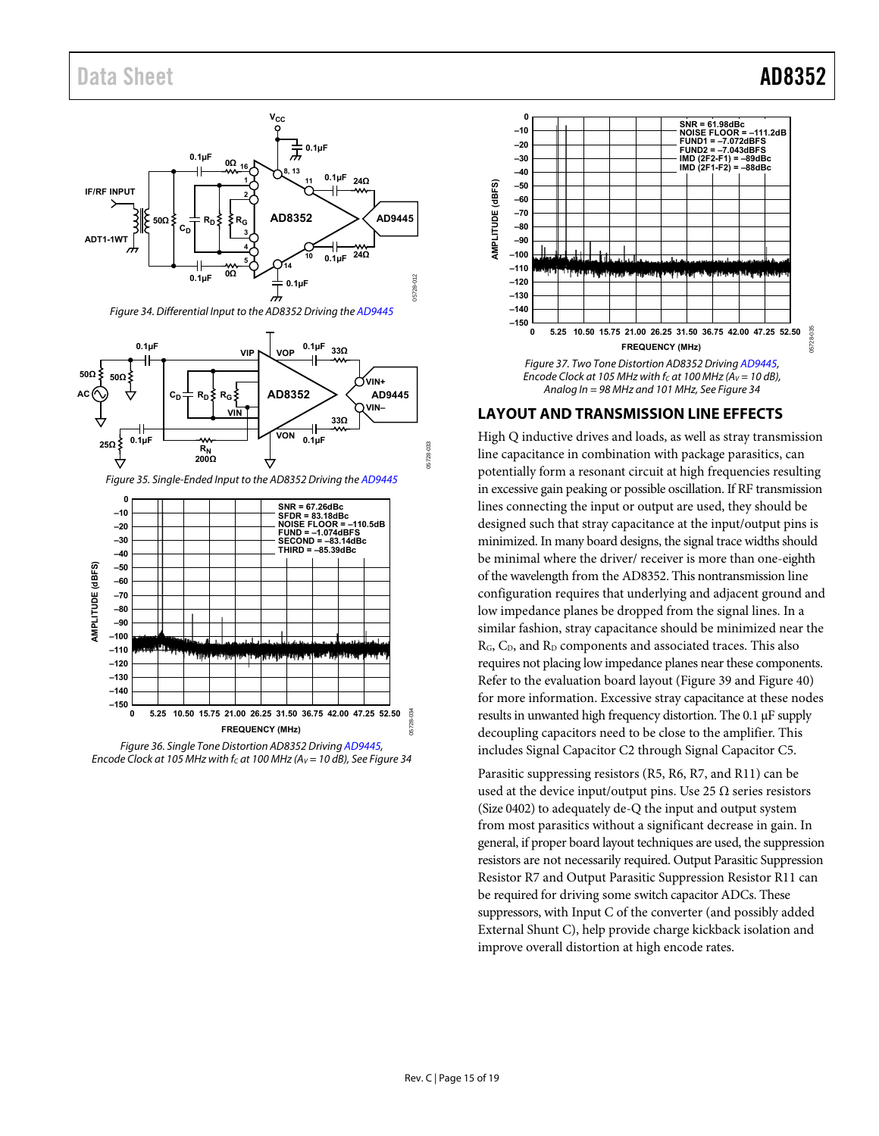

Figure 34. Differential Input to the AD8352 Driving th[e AD9445](http://www.analog.com/AD9445)

<span id="page-14-1"></span>

Figure 35. Single-Ended Input to the AD8352 Driving th[e AD9445](http://www.analog.com/AD9445)

<span id="page-14-2"></span>

<span id="page-14-3"></span>Encode Clock at 105 MHz with  $f_C$  at 100 MHz (A<sub>V</sub> = 10 dB), See Figure 34



### <span id="page-14-4"></span><span id="page-14-0"></span>**LAYOUT AND TRANSMISSION LINE EFFECTS**

High Q inductive drives and loads, as well as stray transmission line capacitance in combination with package parasitics, can potentially form a resonant circuit at high frequencies resulting in excessive gain peaking or possible oscillation. If RF transmission lines connecting the input or output are used, they should be designed such that stray capacitance at the input/output pins is minimized. In many board designs, the signal trace widths should be minimal where the driver/ receiver is more than one-eighth of the wavelength from the AD8352. This nontransmission line configuration requires that underlying and adjacent ground and low impedance planes be dropped from the signal lines. In a similar fashion, stray capacitance should be minimized near the R<sub>G</sub>, C<sub>D</sub>, and R<sub>D</sub> components and associated traces. This also requires not placing low impedance planes near these components. Refer to the evaluation board layout [\(Figure 39 a](#page-17-0)n[d Figure 40\)](#page-17-1) for more information. Excessive stray capacitance at these nodes results in unwanted high frequency distortion. The 0.1 μF supply decoupling capacitors need to be close to the amplifier. This includes Signal Capacitor C2 through Signal Capacitor C5.

Parasitic suppressing resistors (R5, R6, R7, and R11) can be used at the device input/output pins. Use 25  $\Omega$  series resistors (Size 0402) to adequately de-Q the input and output system from most parasitics without a significant decrease in gain. In general, if proper board layout techniques are used, the suppression resistors are not necessarily required. Output Parasitic Suppression Resistor R7 and Output Parasitic Suppression Resistor R11 can be required for driving some switch capacitor ADCs. These suppressors, with Input C of the converter (and possibly added External Shunt C), help provide charge kickback isolation and improve overall distortion at high encode rates.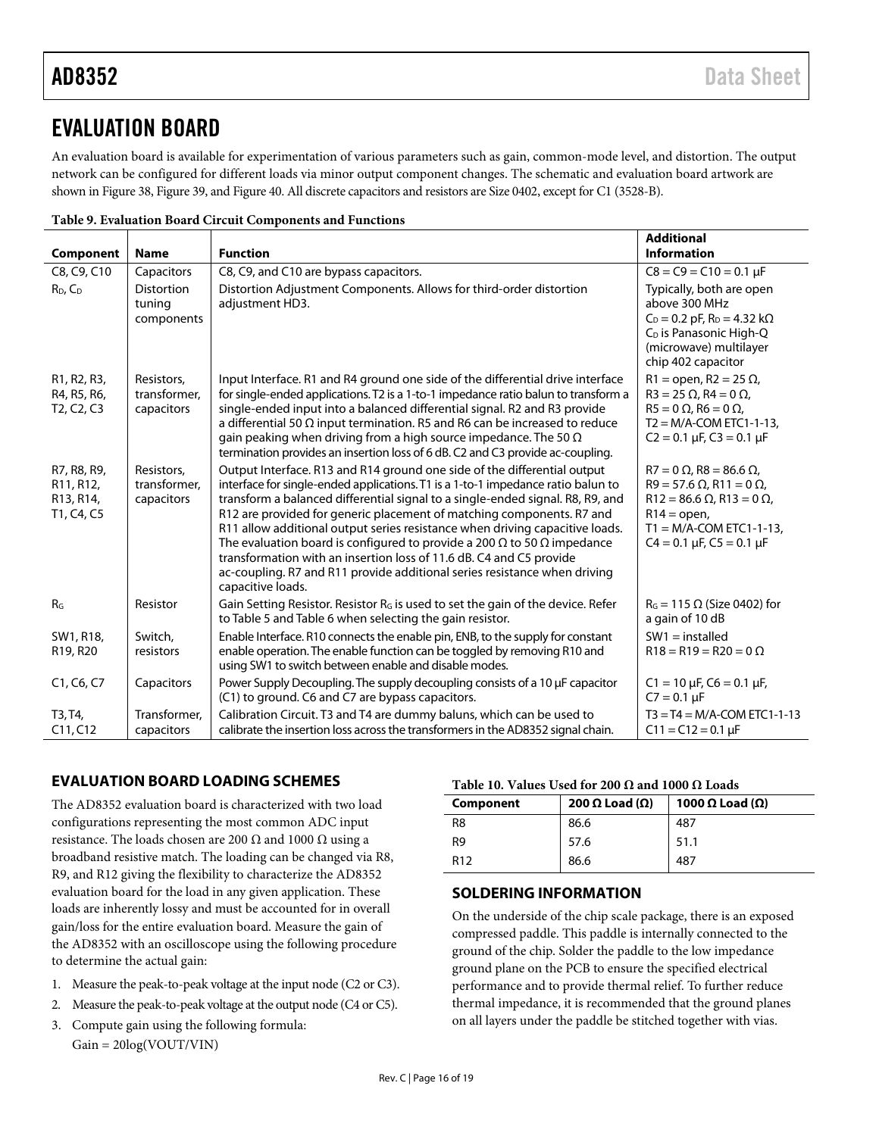## <span id="page-15-0"></span>EVALUATION BOARD

An evaluation board is available for experimentation of various parameters such as gain, common-mode level, and distortion. The output network can be configured for different loads via minor output component changes. The schematic and evaluation board artwork are shown i[n Figure 38,](#page-16-1) [Figure 39,](#page-17-0) an[d Figure 40.](#page-17-1) All discrete capacitors and resistors are Size 0402, except for C1 (3528-B).

| Component                                                                      | <b>Name</b>                               | <b>Function</b>                                                                                                                                                                                                                                                                                                                                                                                                                                                                                                                                                                                                                                                           | <b>Additional</b><br><b>Information</b>                                                                                                                                                                              |
|--------------------------------------------------------------------------------|-------------------------------------------|---------------------------------------------------------------------------------------------------------------------------------------------------------------------------------------------------------------------------------------------------------------------------------------------------------------------------------------------------------------------------------------------------------------------------------------------------------------------------------------------------------------------------------------------------------------------------------------------------------------------------------------------------------------------------|----------------------------------------------------------------------------------------------------------------------------------------------------------------------------------------------------------------------|
| C8, C9, C10                                                                    | Capacitors                                | C8, C9, and C10 are bypass capacitors.                                                                                                                                                                                                                                                                                                                                                                                                                                                                                                                                                                                                                                    | $C8 = C9 = C10 = 0.1 \mu F$                                                                                                                                                                                          |
| $R_D, C_D$                                                                     | <b>Distortion</b><br>tuning<br>components | Distortion Adjustment Components. Allows for third-order distortion<br>adjustment HD3.                                                                                                                                                                                                                                                                                                                                                                                                                                                                                                                                                                                    | Typically, both are open<br>above 300 MHz<br>$C_D = 0.2$ pF, $R_D = 4.32$ k $\Omega$<br>C <sub>D</sub> is Panasonic High-Q<br>(microwave) multilayer<br>chip 402 capacitor                                           |
| R1, R2, R3,<br>R4, R5, R6,<br>T <sub>2</sub> , C <sub>2</sub> , C <sub>3</sub> | Resistors,<br>transformer.<br>capacitors  | Input Interface. R1 and R4 ground one side of the differential drive interface<br>for single-ended applications. T2 is a 1-to-1 impedance ratio balun to transform a<br>single-ended input into a balanced differential signal. R2 and R3 provide<br>a differential 50 $\Omega$ input termination. R5 and R6 can be increased to reduce<br>gain peaking when driving from a high source impedance. The 50 $\Omega$<br>termination provides an insertion loss of 6 dB. C2 and C3 provide ac-coupling.                                                                                                                                                                      | R1 = open, R2 = 25 $\Omega$ ,<br>$R3 = 25 \Omega$ , $R4 = 0 \Omega$ ,<br>$R5 = 0 \Omega$ , $R6 = 0 \Omega$ ,<br>$T2 = M/A$ -COM ETC1-1-13,<br>$C2 = 0.1 \mu F$ , $C3 = 0.1 \mu F$                                    |
| R7, R8, R9,<br>R11, R12,<br>R <sub>13</sub> , R <sub>14</sub> ,<br>T1, C4, C5  | Resistors,<br>transformer,<br>capacitors  | Output Interface. R13 and R14 ground one side of the differential output<br>interface for single-ended applications. T1 is a 1-to-1 impedance ratio balun to<br>transform a balanced differential signal to a single-ended signal. R8, R9, and<br>R12 are provided for generic placement of matching components. R7 and<br>R11 allow additional output series resistance when driving capacitive loads.<br>The evaluation board is configured to provide a 200 $\Omega$ to 50 $\Omega$ impedance<br>transformation with an insertion loss of 11.6 dB. C4 and C5 provide<br>ac-coupling. R7 and R11 provide additional series resistance when driving<br>capacitive loads. | $R7 = 0 \Omega$ , $R8 = 86.6 \Omega$ ,<br>$R9 = 57.6 \Omega$ , $R11 = 0 \Omega$ ,<br>$R12 = 86.6 \Omega$ , $R13 = 0 \Omega$ ,<br>$R14 = open$ ,<br>$T1 = M/A$ -COM ETC1-1-13,<br>$C4 = 0.1 \mu F$ , $C5 = 0.1 \mu F$ |
| $R_G$                                                                          | Resistor                                  | Gain Setting Resistor. Resistor R <sub>G</sub> is used to set the gain of the device. Refer<br>to Table 5 and Table 6 when selecting the gain resistor.                                                                                                                                                                                                                                                                                                                                                                                                                                                                                                                   | $RG = 115 \Omega$ (Size 0402) for<br>a gain of 10 dB                                                                                                                                                                 |
| SW1, R18,<br>R19, R20                                                          | Switch,<br>resistors                      | Enable Interface. R10 connects the enable pin, ENB, to the supply for constant<br>enable operation. The enable function can be toggled by removing R10 and<br>using SW1 to switch between enable and disable modes.                                                                                                                                                                                                                                                                                                                                                                                                                                                       | $SW1 = installed$<br>$R18 = R19 = R20 = 0 \Omega$                                                                                                                                                                    |
| C1, C6, C7                                                                     | Capacitors                                | Power Supply Decoupling. The supply decoupling consists of a 10 µF capacitor<br>(C1) to ground. C6 and C7 are bypass capacitors.                                                                                                                                                                                                                                                                                                                                                                                                                                                                                                                                          | $C1 = 10 \mu F$ , $C6 = 0.1 \mu F$ ,<br>$C7 = 0.1 \mu F$                                                                                                                                                             |
| T3, T4,<br>C11, C12                                                            | Transformer,<br>capacitors                | Calibration Circuit. T3 and T4 are dummy baluns, which can be used to<br>calibrate the insertion loss across the transformers in the AD8352 signal chain.                                                                                                                                                                                                                                                                                                                                                                                                                                                                                                                 | $T3 = T4 = M/A$ -COM ETC1-1-13<br>$C11 = C12 = 0.1 \mu F$                                                                                                                                                            |

**Table 9. Evaluation Board Circuit Components and Functions**

## <span id="page-15-1"></span>**EVALUATION BOARD LOADING SCHEMES**

The AD8352 evaluation board is characterized with two load configurations representing the most common ADC input resistance. The loads chosen are 200  $\Omega$  and 1000  $\Omega$  using a broadband resistive match. The loading can be changed via R8, R9, and R12 giving the flexibility to characterize the AD8352 evaluation board for the load in any given application. These loads are inherently lossy and must be accounted for in overall gain/loss for the entire evaluation board. Measure the gain of the AD8352 with an oscilloscope using the following procedure to determine the actual gain:

- 1. Measure the peak-to-peak voltage at the input node (C2 or C3).
- 2. Measure the peak-to-peak voltage at the output node (C4 or C5).
- 3. Compute gain using the following formula: Gain = 20log(VOUT/VIN)

### **Table 10. Values Used for 200 Ω and 1000 Ω Loads**

| Component       | 200 $\Omega$ Load ( $\Omega$ ) | 1000 $\Omega$ Load ( $\Omega$ ) |  |
|-----------------|--------------------------------|---------------------------------|--|
| R <sub>8</sub>  | 86.6                           | 487                             |  |
| R <sub>9</sub>  | 57.6                           | 51.1                            |  |
| R <sub>12</sub> | 86.6                           | 487                             |  |

## <span id="page-15-2"></span>**SOLDERING INFORMATION**

On the underside of the chip scale package, there is an exposed compressed paddle. This paddle is internally connected to the ground of the chip. Solder the paddle to the low impedance ground plane on the PCB to ensure the specified electrical performance and to provide thermal relief. To further reduce thermal impedance, it is recommended that the ground planes on all layers under the paddle be stitched together with vias.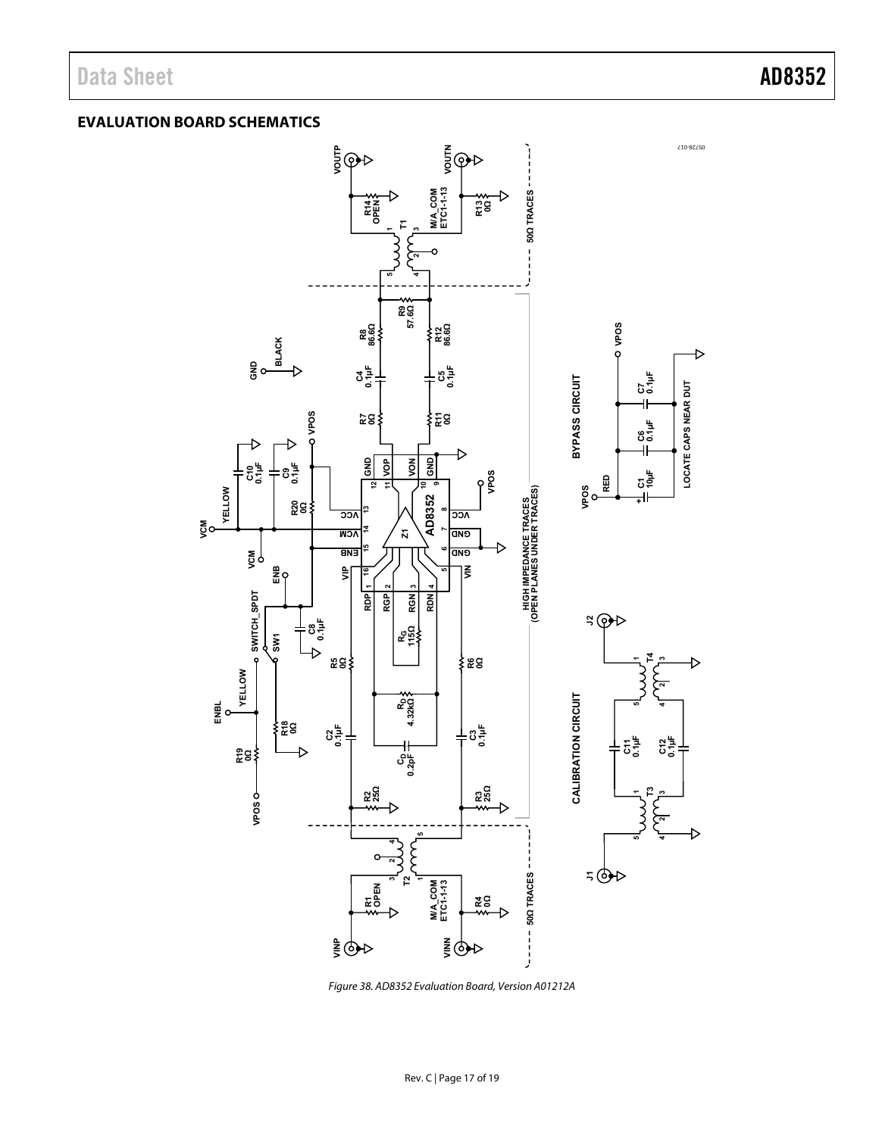## <span id="page-16-0"></span>**EVALUATION BOARD SCHEMATICS**



<span id="page-16-1"></span>Figure 38. AD8352 Evaluation Board, Version A01212A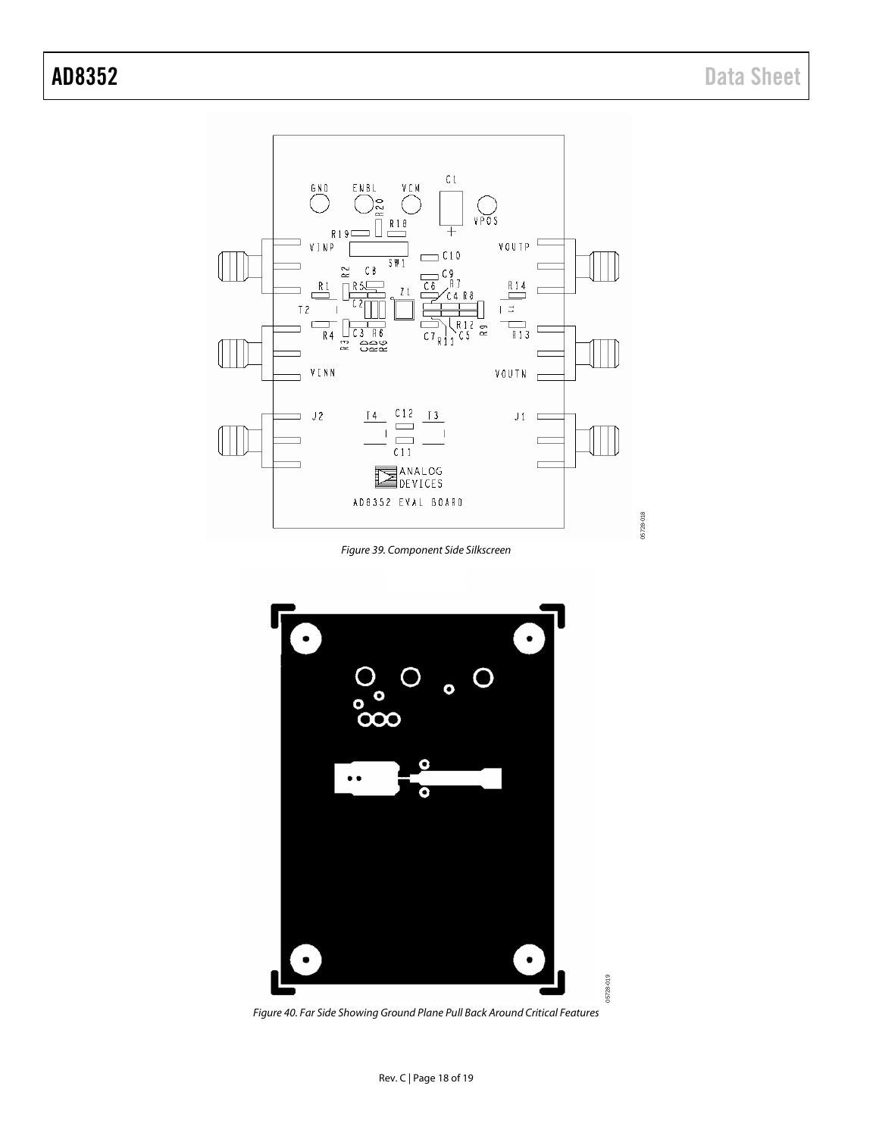05728-018

05728-019

05728-019



Figure 39. Component Side Silkscreen

<span id="page-17-0"></span>

<span id="page-17-1"></span>Figure 40. Far Side Showing Ground Plane Pull Back Around Critical Features